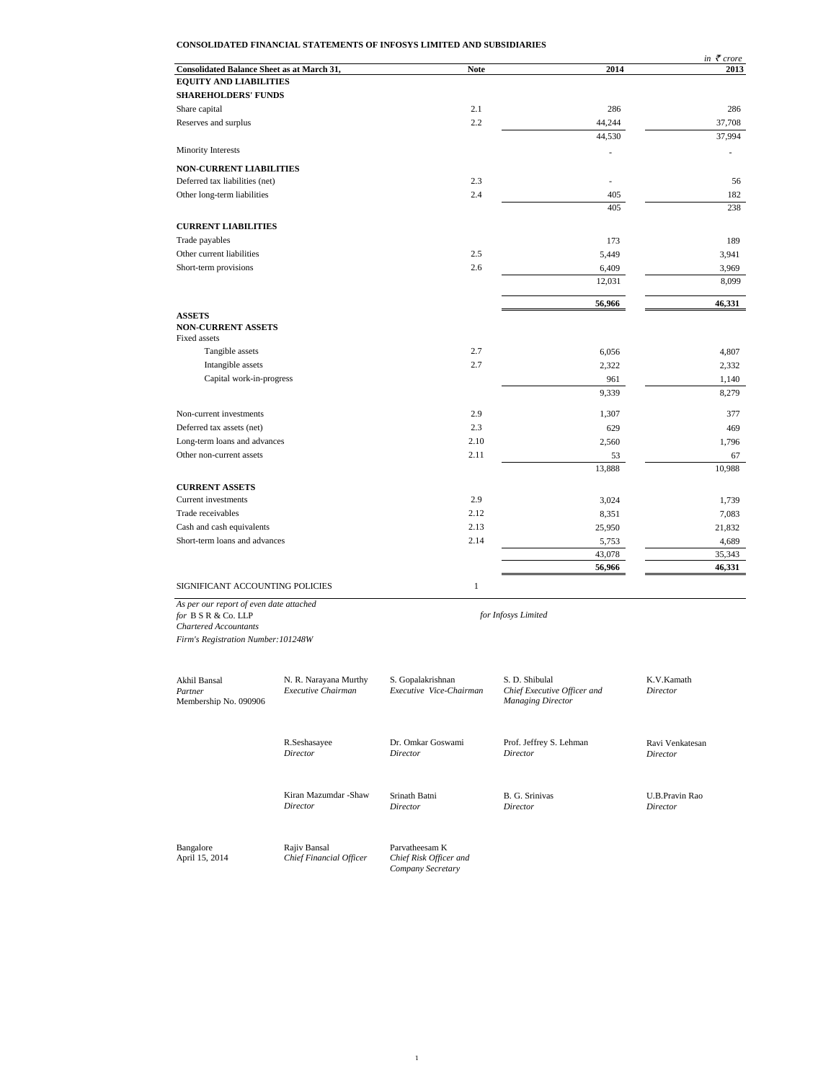# **CONSOLIDATED FINANCIAL STATEMENTS OF INFOSYS LIMITED AND SUBSIDIARIES**

|                                                   |              |        | in $\bar{\tau}$ crore |
|---------------------------------------------------|--------------|--------|-----------------------|
| <b>Consolidated Balance Sheet as at March 31,</b> | <b>Note</b>  | 2014   | 2013                  |
| <b>EQUITY AND LIABILITIES</b>                     |              |        |                       |
| <b>SHAREHOLDERS' FUNDS</b>                        |              |        |                       |
| Share capital                                     | 2.1          | 286    | 286                   |
| Reserves and surplus                              | 2.2          | 44,244 | 37,708                |
|                                                   |              | 44,530 | 37,994                |
| <b>Minority Interests</b>                         |              |        |                       |
| <b>NON-CURRENT LIABILITIES</b>                    |              |        |                       |
| Deferred tax liabilities (net)                    | 2.3          | ä,     | 56                    |
| Other long-term liabilities                       | 2.4          | 405    | 182                   |
|                                                   |              | 405    | 238                   |
| <b>CURRENT LIABILITIES</b>                        |              |        |                       |
| Trade payables                                    |              | 173    | 189                   |
| Other current liabilities                         | 2.5          | 5,449  | 3,941                 |
| Short-term provisions                             | 2.6          | 6,409  | 3,969                 |
|                                                   |              | 12,031 | 8,099                 |
|                                                   |              | 56,966 | 46,331                |
| <b>ASSETS</b>                                     |              |        |                       |
| <b>NON-CURRENT ASSETS</b>                         |              |        |                       |
| Fixed assets                                      |              |        |                       |
| Tangible assets                                   | 2.7          | 6,056  | 4,807                 |
| Intangible assets                                 | 2.7          | 2,322  | 2,332                 |
| Capital work-in-progress                          |              | 961    | 1,140                 |
|                                                   |              | 9,339  | 8,279                 |
| Non-current investments                           | 2.9          | 1,307  | 377                   |
| Deferred tax assets (net)                         | 2.3          | 629    | 469                   |
| Long-term loans and advances                      | 2.10         | 2,560  | 1,796                 |
| Other non-current assets                          | 2.11         | 53     | 67                    |
|                                                   |              | 13,888 | 10,988                |
| <b>CURRENT ASSETS</b>                             |              |        |                       |
| Current investments                               | 2.9          | 3,024  | 1,739                 |
| Trade receivables                                 | 2.12         | 8,351  | 7,083                 |
| Cash and cash equivalents                         | 2.13         | 25,950 | 21,832                |
| Short-term loans and advances                     | 2.14         | 5,753  | 4,689                 |
|                                                   |              | 43,078 | 35,343                |
|                                                   |              | 56,966 | 46,331                |
| SIGNIFICANT ACCOUNTING POLICIES                   | $\mathbf{1}$ |        |                       |

*As per our report of even date attached for* B S R & Co. LLP *Chartered Accountants*

*Firm's Registration Number:101248W*

Akhil Bansal N. R. Narayana Murthy S. Gopalakrishnan S. D. Shibulal K.V.Kamath Executive Chairman Executive Vice-Chairman Chief Executive Officer and Director *Partner Executive Chairman Executive Vice-Chairman Chief Executive Officer and Director* Membership No. 090906 *Managing Director* R.Seshasayee **Dr. Omkar Goswami** Prof. Jeffrey S. Lehman Ravi Venkatesan Director Director Director **Director** *Director Director Director Director* Kiran Mazumdar -Shaw Srinath Batni B. G. Srinivas U.B.Pravin Rao Director Director Director Director Director *Director Director Director Director* Bangalore Rajiv Bansal Parvatheesam K April 15, 2014 *Chief Financial Officer Chief Risk Officer and Company Secretary*

*for Infosys Limited*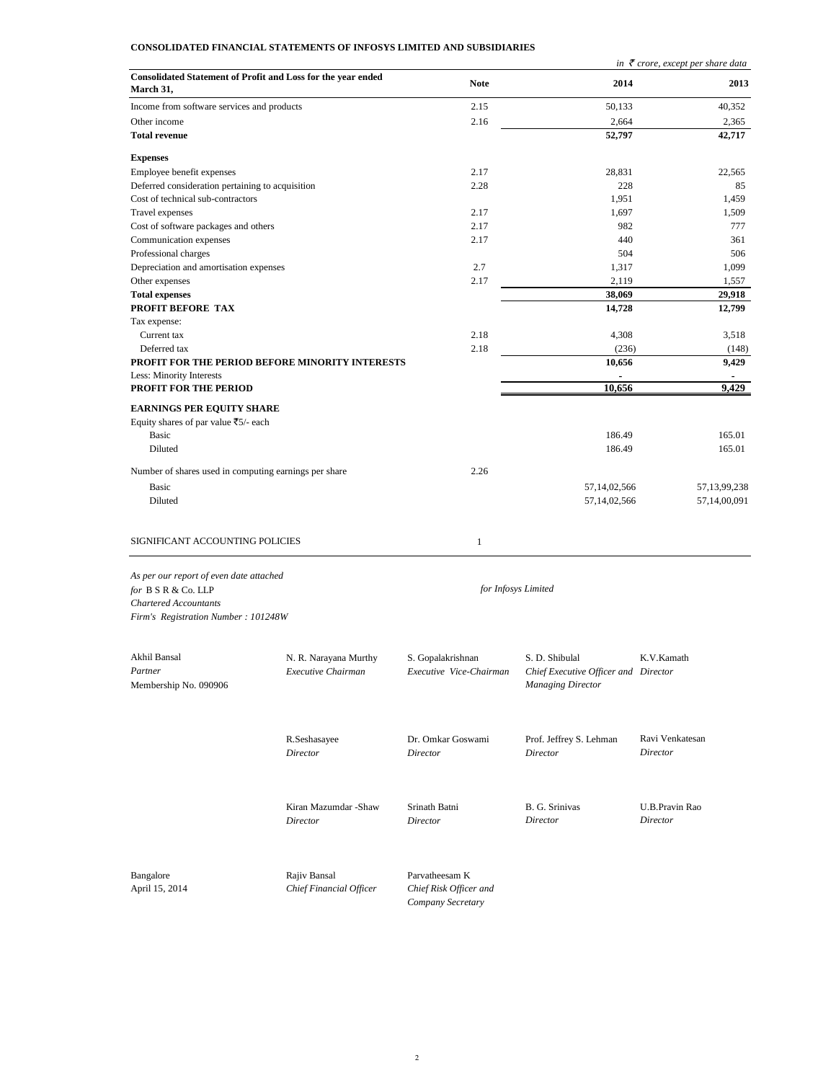# **CONSOLIDATED FINANCIAL STATEMENTS OF INFOSYS LIMITED AND SUBSIDIARIES**

|                                                                             |                                   |                           |                                      | in $\bar{\tau}$ crore, except per share data |
|-----------------------------------------------------------------------------|-----------------------------------|---------------------------|--------------------------------------|----------------------------------------------|
| Consolidated Statement of Profit and Loss for the year ended<br>March 31,   |                                   | <b>Note</b>               | 2014                                 | 2013                                         |
| Income from software services and products                                  |                                   | 2.15                      | 50,133                               | 40,352                                       |
| Other income                                                                |                                   | 2.16                      | 2,664                                | 2,365                                        |
| <b>Total revenue</b>                                                        |                                   |                           | 52,797                               | 42,717                                       |
| <b>Expenses</b>                                                             |                                   |                           |                                      |                                              |
| Employee benefit expenses                                                   |                                   | 2.17                      | 28,831                               | 22,565                                       |
| Deferred consideration pertaining to acquisition                            |                                   | 2.28                      | 228                                  | 85                                           |
| Cost of technical sub-contractors                                           |                                   |                           | 1,951                                | 1,459                                        |
| Travel expenses                                                             |                                   | 2.17                      | 1,697                                | 1,509                                        |
| Cost of software packages and others                                        |                                   | 2.17                      | 982                                  | 777                                          |
| Communication expenses                                                      |                                   | 2.17                      | 440                                  | 361                                          |
| Professional charges                                                        |                                   |                           | 504                                  | 506                                          |
| Depreciation and amortisation expenses                                      |                                   | 2.7                       | 1,317                                | 1,099                                        |
| Other expenses                                                              |                                   | 2.17                      | 2,119                                | 1,557                                        |
| <b>Total expenses</b>                                                       |                                   |                           | 38,069                               | 29,918                                       |
| PROFIT BEFORE TAX                                                           |                                   |                           | 14,728                               | 12,799                                       |
| Tax expense:                                                                |                                   |                           |                                      |                                              |
| Current tax                                                                 |                                   | 2.18                      | 4,308                                | 3,518                                        |
| Deferred tax                                                                |                                   | 2.18                      | (236)                                | (148)                                        |
| PROFIT FOR THE PERIOD BEFORE MINORITY INTERESTS<br>Less: Minority Interests |                                   |                           | 10,656<br>$\blacksquare$             | 9,429<br>٠                                   |
| <b>PROFIT FOR THE PERIOD</b>                                                |                                   |                           | 10,656                               | 9,429                                        |
| <b>EARNINGS PER EQUITY SHARE</b>                                            |                                   |                           |                                      |                                              |
| Equity shares of par value ₹5/- each                                        |                                   |                           |                                      |                                              |
| Basic                                                                       |                                   |                           | 186.49                               | 165.01                                       |
| Diluted                                                                     |                                   |                           | 186.49                               | 165.01                                       |
|                                                                             |                                   |                           |                                      |                                              |
| Number of shares used in computing earnings per share                       |                                   | 2.26                      |                                      |                                              |
| Basic                                                                       |                                   |                           | 57,14,02,566                         | 57, 13, 99, 238                              |
| Diluted                                                                     |                                   |                           | 57,14,02,566                         | 57,14,00,091                                 |
|                                                                             |                                   |                           |                                      |                                              |
| SIGNIFICANT ACCOUNTING POLICIES                                             |                                   | $1\,$                     |                                      |                                              |
| As per our report of even date attached                                     |                                   |                           |                                      |                                              |
| for B S R & Co. LLP                                                         |                                   |                           | for Infosys Limited                  |                                              |
| <b>Chartered Accountants</b>                                                |                                   |                           |                                      |                                              |
| Firm's Registration Number: 101248W                                         |                                   |                           |                                      |                                              |
|                                                                             |                                   |                           |                                      |                                              |
|                                                                             |                                   |                           |                                      |                                              |
| Akhil Bansal<br>Partner                                                     | N. R. Narayana Murthy             | S. Gopalakrishnan         | S. D. Shibulal                       | K.V.Kamath                                   |
|                                                                             | Executive Chairman                | Executive Vice-Chairman   | Chief Executive Officer and Director |                                              |
| Membership No. 090906                                                       |                                   |                           | <b>Managing Director</b>             |                                              |
|                                                                             |                                   |                           |                                      |                                              |
|                                                                             | R.Seshasayee                      | Dr. Omkar Goswami         | Prof. Jeffrey S. Lehman              | Ravi Venkatesan                              |
|                                                                             | Director                          | Director                  | Director                             | Director                                     |
|                                                                             |                                   |                           |                                      |                                              |
|                                                                             | Kiran Mazumdar - Shaw<br>Director | Srinath Batni<br>Director | B. G. Srinivas<br>Director           | U.B.Pravin Rao<br>Director                   |
|                                                                             |                                   |                           |                                      |                                              |
| Bangalore                                                                   | Rajiv Bansal                      | Parvatheesam K            |                                      |                                              |
| April 15, 2014                                                              | Chief Financial Officer           | Chief Risk Officer and    |                                      |                                              |
|                                                                             |                                   | Company Secretary         |                                      |                                              |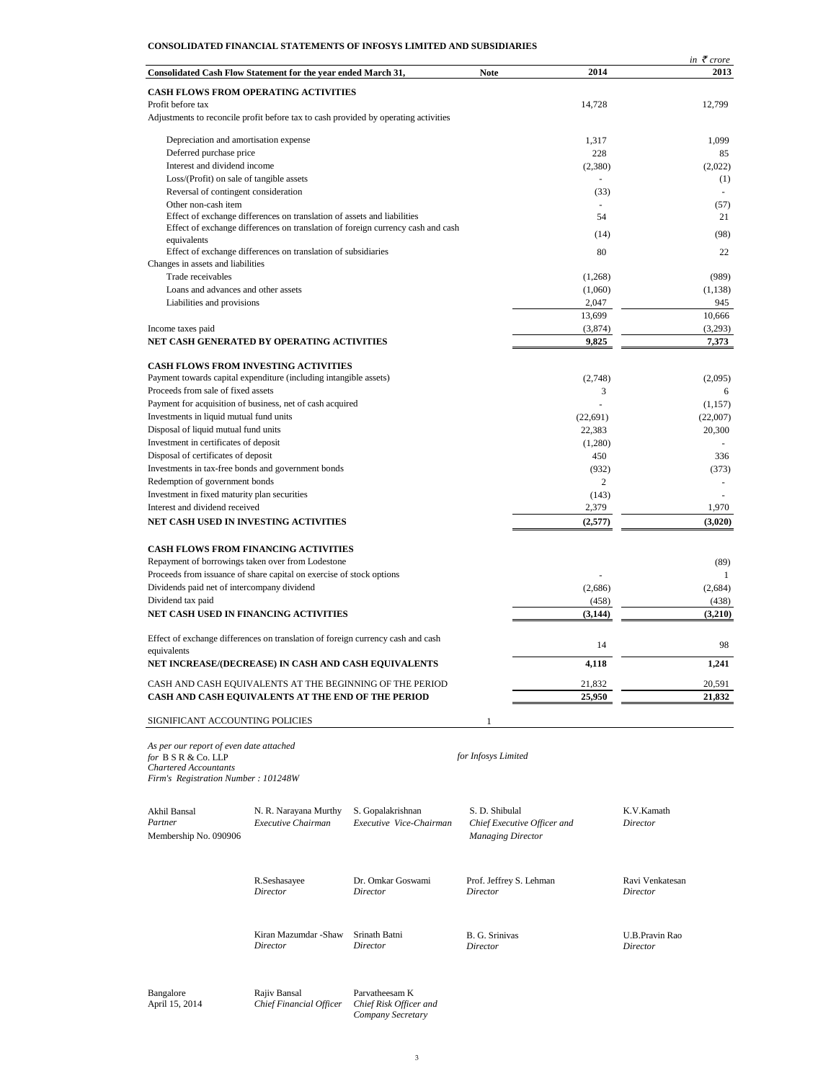# **CONSOLIDATED FINANCIAL STATEMENTS OF INFOSYS LIMITED AND SUBSIDIARIES**

|                                         |                                                                                     |                             |                | in $\bar{\tau}$ crore    |
|-----------------------------------------|-------------------------------------------------------------------------------------|-----------------------------|----------------|--------------------------|
|                                         | Consolidated Cash Flow Statement for the year ended March 31,                       | <b>Note</b>                 | 2014           | 2013                     |
|                                         | <b>CASH FLOWS FROM OPERATING ACTIVITIES</b>                                         |                             |                |                          |
| Profit before tax                       |                                                                                     |                             | 14,728         | 12,799                   |
|                                         | Adjustments to reconcile profit before tax to cash provided by operating activities |                             |                |                          |
|                                         | Depreciation and amortisation expense                                               |                             | 1,317          | 1,099                    |
| Deferred purchase price                 |                                                                                     |                             | 228            | 85                       |
| Interest and dividend income            |                                                                                     |                             | (2,380)        | (2,022)                  |
|                                         | Loss/(Profit) on sale of tangible assets                                            |                             |                | (1)                      |
|                                         | Reversal of contingent consideration                                                |                             | (33)           | ٠                        |
| Other non-cash item                     |                                                                                     |                             |                | (57)                     |
|                                         | Effect of exchange differences on translation of assets and liabilities             |                             | 54             | 21                       |
|                                         | Effect of exchange differences on translation of foreign currency cash and cash     |                             | (14)           | (98)                     |
| equivalents                             |                                                                                     |                             |                |                          |
|                                         | Effect of exchange differences on translation of subsidiaries                       |                             | 80             | 22                       |
| Changes in assets and liabilities       |                                                                                     |                             |                |                          |
| Trade receivables                       |                                                                                     |                             | (1,268)        | (989)                    |
|                                         | Loans and advances and other assets                                                 |                             | (1,060)        | (1, 138)                 |
| Liabilities and provisions              |                                                                                     |                             | 2,047          | 945                      |
|                                         |                                                                                     |                             | 13,699         | 10,666                   |
| Income taxes paid                       | NET CASH GENERATED BY OPERATING ACTIVITIES                                          |                             | (3,874)        | (3,293)                  |
|                                         |                                                                                     |                             | 9,825          | 7,373                    |
|                                         | <b>CASH FLOWS FROM INVESTING ACTIVITIES</b>                                         |                             |                |                          |
|                                         | Payment towards capital expenditure (including intangible assets)                   |                             | (2,748)        | (2.095)                  |
| Proceeds from sale of fixed assets      |                                                                                     |                             | 3              | 6                        |
|                                         | Payment for acquisition of business, net of cash acquired                           |                             |                | (1, 157)                 |
| Investments in liquid mutual fund units |                                                                                     |                             | (22, 691)      | (22,007)                 |
| Disposal of liquid mutual fund units    |                                                                                     |                             | 22,383         | 20,300                   |
| Investment in certificates of deposit   |                                                                                     |                             | (1,280)        |                          |
| Disposal of certificates of deposit     |                                                                                     |                             | 450            | 336                      |
|                                         | Investments in tax-free bonds and government bonds                                  |                             | (932)          | (373)                    |
| Redemption of government bonds          |                                                                                     |                             | $\overline{c}$ | $\overline{\phantom{m}}$ |
|                                         | Investment in fixed maturity plan securities                                        |                             | (143)          |                          |
| Interest and dividend received          |                                                                                     |                             | 2,379          | 1,970                    |
|                                         | NET CASH USED IN INVESTING ACTIVITIES                                               |                             | (2,577)        | (3,020)                  |
|                                         | <b>CASH FLOWS FROM FINANCING ACTIVITIES</b>                                         |                             |                |                          |
|                                         | Repayment of borrowings taken over from Lodestone                                   |                             |                | (89)                     |
|                                         | Proceeds from issuance of share capital on exercise of stock options                |                             |                | 1                        |
|                                         | Dividends paid net of intercompany dividend                                         |                             | (2,686)        | (2,684)                  |
| Dividend tax paid                       |                                                                                     |                             | (458)          | (438)                    |
|                                         | NET CASH USED IN FINANCING ACTIVITIES                                               |                             | (3, 144)       | (3,210)                  |
|                                         |                                                                                     |                             |                |                          |
| equivalents                             | Effect of exchange differences on translation of foreign currency cash and cash     |                             | 14             | 98                       |
|                                         | NET INCREASE/(DECREASE) IN CASH AND CASH EQUIVALENTS                                |                             | 4,118          | 1,241                    |
|                                         | CASH AND CASH EQUIVALENTS AT THE BEGINNING OF THE PERIOD                            |                             | 21,832         | 20,591                   |
|                                         | CASH AND CASH EQUIVALENTS AT THE END OF THE PERIOD                                  |                             | 25,950         | 21,832                   |
|                                         |                                                                                     |                             |                |                          |
|                                         | SIGNIFICANT ACCOUNTING POLICIES                                                     | 1                           |                |                          |
| As per our report of even date attached |                                                                                     |                             |                |                          |
| for B S R & Co. LLP                     |                                                                                     | for Infosys Limited         |                |                          |
| <b>Chartered Accountants</b>            |                                                                                     |                             |                |                          |
| Firm's Registration Number: 101248W     |                                                                                     |                             |                |                          |
|                                         |                                                                                     |                             |                |                          |
| Akhil Bansal                            | N. R. Narayana Murthy<br>S. Gopalakrishnan                                          | S. D. Shibulal              |                | K.V.Kamath               |
| Partner                                 | Executive Chairman<br>Executive Vice-Chairman                                       | Chief Executive Officer and |                | Director                 |

| Partner<br>Membership No. 090906 | Executive Chairman                      | Executive Vice-Chairman                                       | Chief Executive Officer and<br><b>Managing Director</b> | Director        |
|----------------------------------|-----------------------------------------|---------------------------------------------------------------|---------------------------------------------------------|-----------------|
|                                  | R.Seshasayee                            | Dr. Omkar Goswami                                             | Prof. Jeffrey S. Lehman                                 | Ravi Venkatesan |
|                                  | Director                                | Director                                                      | Director                                                | Director        |
|                                  | Kiran Mazumdar -Shaw                    | Srinath Batni                                                 | B. G. Srinivas                                          | U.B.Pravin Rao  |
|                                  | Director                                | Director                                                      | Director                                                | Director        |
| Bangalore<br>April 15, 2014      | Rajiv Bansal<br>Chief Financial Officer | Parvatheesam K<br>Chief Risk Officer and<br>Company Secretary |                                                         |                 |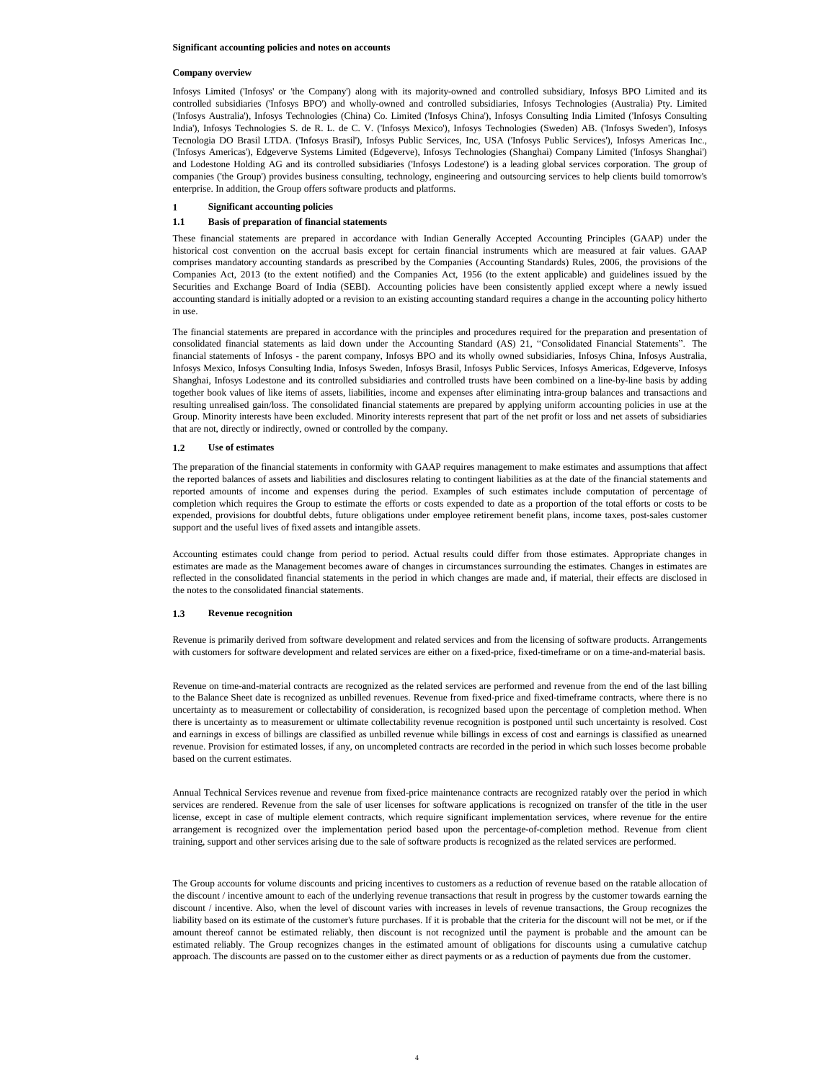### **Significant accounting policies and notes on accounts**

### **Company overview**

Infosys Limited ('Infosys' or 'the Company') along with its majority-owned and controlled subsidiary, Infosys BPO Limited and its controlled subsidiaries ('Infosys BPO') and wholly-owned and controlled subsidiaries, Infosys Technologies (Australia) Pty. Limited ('Infosys Australia'), Infosys Technologies (China) Co. Limited ('Infosys China'), Infosys Consulting India Limited ('Infosys Consulting India'), Infosys Technologies S. de R. L. de C. V. ('Infosys Mexico'), Infosys Technologies (Sweden) AB. ('Infosys Sweden'), Infosys Tecnologia DO Brasil LTDA. ('Infosys Brasil'), Infosys Public Services, Inc, USA ('Infosys Public Services'), Infosys Americas Inc., ('Infosys Americas'), Edgeverve Systems Limited (Edgeverve), Infosys Technologies (Shanghai) Company Limited ('Infosys Shanghai') and Lodestone Holding AG and its controlled subsidiaries ('Infosys Lodestone') is a leading global services corporation. The group of companies ('the Group') provides business consulting, technology, engineering and outsourcing services to help clients build tomorrow's enterprise. In addition, the Group offers software products and platforms.

#### **1 Significant accounting policies**

#### **1.1 Basis of preparation of financial statements**

These financial statements are prepared in accordance with Indian Generally Accepted Accounting Principles (GAAP) under the historical cost convention on the accrual basis except for certain financial instruments which are measured at fair values. GAAP comprises mandatory accounting standards as prescribed by the Companies (Accounting Standards) Rules, 2006, the provisions of the Companies Act, 2013 (to the extent notified) and the Companies Act, 1956 (to the extent applicable) and guidelines issued by the Securities and Exchange Board of India (SEBI). Accounting policies have been consistently applied except where a newly issued accounting standard is initially adopted or a revision to an existing accounting standard requires a change in the accounting policy hitherto in use.

The financial statements are prepared in accordance with the principles and procedures required for the preparation and presentation of consolidated financial statements as laid down under the Accounting Standard (AS) 21, "Consolidated Financial Statements". The financial statements of Infosys - the parent company, Infosys BPO and its wholly owned subsidiaries, Infosys China, Infosys Australia, Infosys Mexico, Infosys Consulting India, Infosys Sweden, Infosys Brasil, Infosys Public Services, Infosys Americas, Edgeverve, Infosys Shanghai, Infosys Lodestone and its controlled subsidiaries and controlled trusts have been combined on a line-by-line basis by adding together book values of like items of assets, liabilities, income and expenses after eliminating intra-group balances and transactions and resulting unrealised gain/loss. The consolidated financial statements are prepared by applying uniform accounting policies in use at the Group. Minority interests have been excluded. Minority interests represent that part of the net profit or loss and net assets of subsidiaries that are not, directly or indirectly, owned or controlled by the company.

### **1.2 Use of estimates**

The preparation of the financial statements in conformity with GAAP requires management to make estimates and assumptions that affect the reported balances of assets and liabilities and disclosures relating to contingent liabilities as at the date of the financial statements and reported amounts of income and expenses during the period. Examples of such estimates include computation of percentage of completion which requires the Group to estimate the efforts or costs expended to date as a proportion of the total efforts or costs to be expended, provisions for doubtful debts, future obligations under employee retirement benefit plans, income taxes, post-sales customer support and the useful lives of fixed assets and intangible assets.

Accounting estimates could change from period to period. Actual results could differ from those estimates. Appropriate changes in estimates are made as the Management becomes aware of changes in circumstances surrounding the estimates. Changes in estimates are reflected in the consolidated financial statements in the period in which changes are made and, if material, their effects are disclosed in the notes to the consolidated financial statements.

#### **1.3 Revenue recognition**

Revenue is primarily derived from software development and related services and from the licensing of software products. Arrangements with customers for software development and related services are either on a fixed-price, fixed-timeframe or on a time-and-material basis.

Revenue on time-and-material contracts are recognized as the related services are performed and revenue from the end of the last billing to the Balance Sheet date is recognized as unbilled revenues. Revenue from fixed-price and fixed-timeframe contracts, where there is no uncertainty as to measurement or collectability of consideration, is recognized based upon the percentage of completion method. When there is uncertainty as to measurement or ultimate collectability revenue recognition is postponed until such uncertainty is resolved. Cost and earnings in excess of billings are classified as unbilled revenue while billings in excess of cost and earnings is classified as unearned revenue. Provision for estimated losses, if any, on uncompleted contracts are recorded in the period in which such losses become probable based on the current estimates.

Annual Technical Services revenue and revenue from fixed-price maintenance contracts are recognized ratably over the period in which services are rendered. Revenue from the sale of user licenses for software applications is recognized on transfer of the title in the user license, except in case of multiple element contracts, which require significant implementation services, where revenue for the entire arrangement is recognized over the implementation period based upon the percentage-of-completion method. Revenue from client training, support and other services arising due to the sale of software products is recognized as the related services are performed.

The Group accounts for volume discounts and pricing incentives to customers as a reduction of revenue based on the ratable allocation of the discount / incentive amount to each of the underlying revenue transactions that result in progress by the customer towards earning the discount / incentive. Also, when the level of discount varies with increases in levels of revenue transactions, the Group recognizes the liability based on its estimate of the customer's future purchases. If it is probable that the criteria for the discount will not be met, or if the amount thereof cannot be estimated reliably, then discount is not recognized until the payment is probable and the amount can be estimated reliably. The Group recognizes changes in the estimated amount of obligations for discounts using a cumulative catchup approach. The discounts are passed on to the customer either as direct payments or as a reduction of payments due from the customer.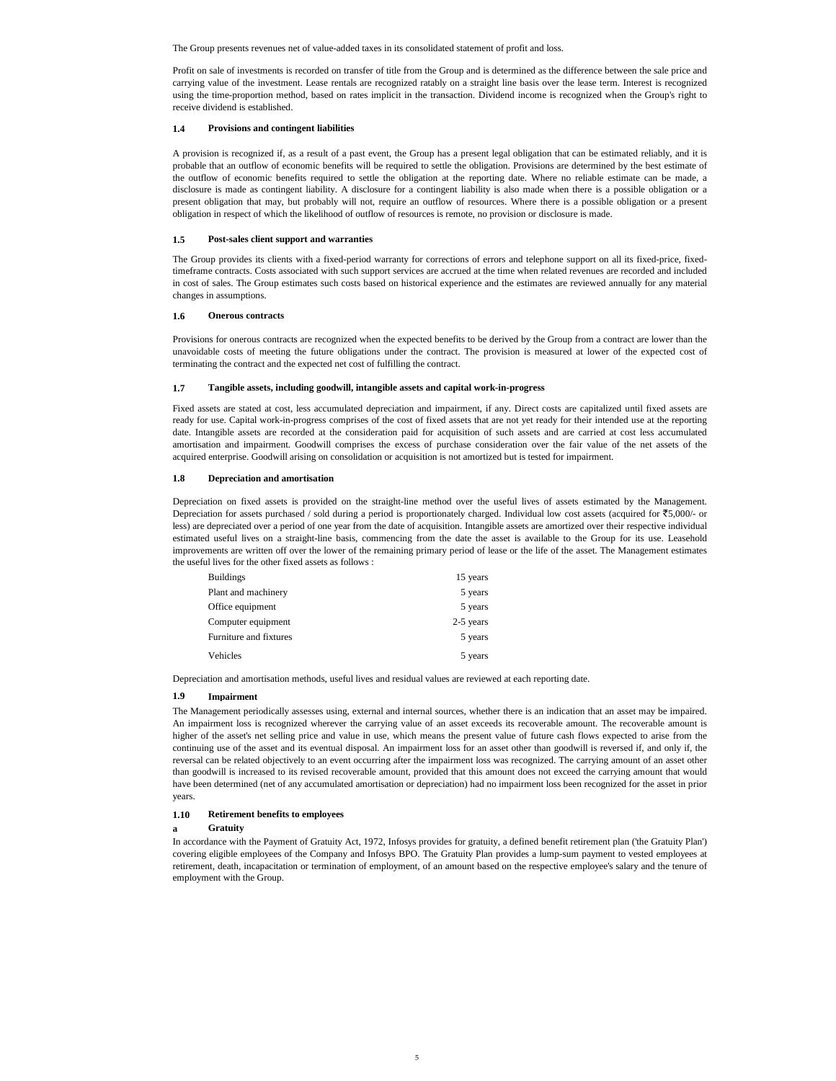The Group presents revenues net of value-added taxes in its consolidated statement of profit and loss.

Profit on sale of investments is recorded on transfer of title from the Group and is determined as the difference between the sale price and carrying value of the investment. Lease rentals are recognized ratably on a straight line basis over the lease term. Interest is recognized using the time-proportion method, based on rates implicit in the transaction. Dividend income is recognized when the Group's right to receive dividend is established.

### **1.4 Provisions and contingent liabilities**

A provision is recognized if, as a result of a past event, the Group has a present legal obligation that can be estimated reliably, and it is probable that an outflow of economic benefits will be required to settle the obligation. Provisions are determined by the best estimate of the outflow of economic benefits required to settle the obligation at the reporting date. Where no reliable estimate can be made, a disclosure is made as contingent liability. A disclosure for a contingent liability is also made when there is a possible obligation or a present obligation that may, but probably will not, require an outflow of resources. Where there is a possible obligation or a present obligation in respect of which the likelihood of outflow of resources is remote, no provision or disclosure is made.

#### **1.5 Post-sales client support and warranties**

The Group provides its clients with a fixed-period warranty for corrections of errors and telephone support on all its fixed-price, fixedtimeframe contracts. Costs associated with such support services are accrued at the time when related revenues are recorded and included in cost of sales. The Group estimates such costs based on historical experience and the estimates are reviewed annually for any material changes in assumptions.

### **1.6 Onerous contracts**

Provisions for onerous contracts are recognized when the expected benefits to be derived by the Group from a contract are lower than the unavoidable costs of meeting the future obligations under the contract. The provision is measured at lower of the expected cost of terminating the contract and the expected net cost of fulfilling the contract.

### **1.7 Tangible assets, including goodwill, intangible assets and capital work-in-progress**

Fixed assets are stated at cost, less accumulated depreciation and impairment, if any. Direct costs are capitalized until fixed assets are ready for use. Capital work-in-progress comprises of the cost of fixed assets that are not yet ready for their intended use at the reporting date. Intangible assets are recorded at the consideration paid for acquisition of such assets and are carried at cost less accumulated amortisation and impairment. Goodwill comprises the excess of purchase consideration over the fair value of the net assets of the acquired enterprise. Goodwill arising on consolidation or acquisition is not amortized but is tested for impairment.

### **1.8 Depreciation and amortisation**

Depreciation on fixed assets is provided on the straight-line method over the useful lives of assets estimated by the Management. Depreciation for assets purchased / sold during a period is proportionately charged. Individual low cost assets (acquired for  $\overline{55,000}$  or less) are depreciated over a period of one year from the date of acquisition. Intangible assets are amortized over their respective individual estimated useful lives on a straight-line basis, commencing from the date the asset is available to the Group for its use. Leasehold improvements are written off over the lower of the remaining primary period of lease or the life of the asset. The Management estimates the useful lives for the other fixed assets as follows :

| <b>Buildings</b>       | 15 years  |
|------------------------|-----------|
| Plant and machinery    | 5 years   |
| Office equipment       | 5 years   |
| Computer equipment     | 2-5 years |
| Furniture and fixtures | 5 years   |
| Vehicles               | 5 years   |

Depreciation and amortisation methods, useful lives and residual values are reviewed at each reporting date.

# **1.9 Impairment**

The Management periodically assesses using, external and internal sources, whether there is an indication that an asset may be impaired. An impairment loss is recognized wherever the carrying value of an asset exceeds its recoverable amount. The recoverable amount is higher of the asset's net selling price and value in use, which means the present value of future cash flows expected to arise from the continuing use of the asset and its eventual disposal. An impairment loss for an asset other than goodwill is reversed if, and only if, the reversal can be related objectively to an event occurring after the impairment loss was recognized. The carrying amount of an asset other than goodwill is increased to its revised recoverable amount, provided that this amount does not exceed the carrying amount that would have been determined (net of any accumulated amortisation or depreciation) had no impairment loss been recognized for the asset in prior years.

#### **1.10 Retirement benefits to employees**

#### **a Gratuity**

In accordance with the Payment of Gratuity Act, 1972, Infosys provides for gratuity, a defined benefit retirement plan ('the Gratuity Plan') covering eligible employees of the Company and Infosys BPO. The Gratuity Plan provides a lump-sum payment to vested employees at retirement, death, incapacitation or termination of employment, of an amount based on the respective employee's salary and the tenure of employment with the Group.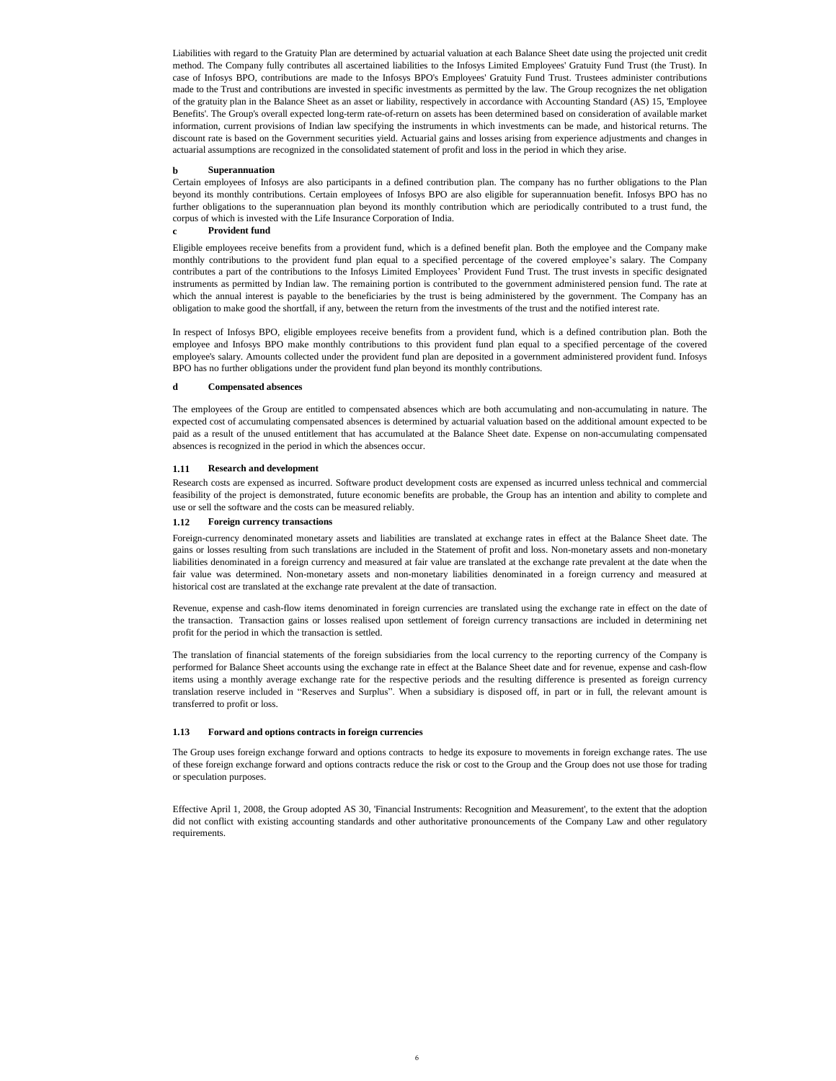Liabilities with regard to the Gratuity Plan are determined by actuarial valuation at each Balance Sheet date using the projected unit credit method. The Company fully contributes all ascertained liabilities to the Infosys Limited Employees' Gratuity Fund Trust (the Trust). In case of Infosys BPO, contributions are made to the Infosys BPO's Employees' Gratuity Fund Trust. Trustees administer contributions made to the Trust and contributions are invested in specific investments as permitted by the law. The Group recognizes the net obligation of the gratuity plan in the Balance Sheet as an asset or liability, respectively in accordance with Accounting Standard (AS) 15, 'Employee Benefits'. The Group's overall expected long-term rate-of-return on assets has been determined based on consideration of available market information, current provisions of Indian law specifying the instruments in which investments can be made, and historical returns. The discount rate is based on the Government securities yield. Actuarial gains and losses arising from experience adjustments and changes in actuarial assumptions are recognized in the consolidated statement of profit and loss in the period in which they arise.

### **b Superannuation**

Certain employees of Infosys are also participants in a defined contribution plan. The company has no further obligations to the Plan beyond its monthly contributions. Certain employees of Infosys BPO are also eligible for superannuation benefit. Infosys BPO has no further obligations to the superannuation plan beyond its monthly contribution which are periodically contributed to a trust fund, the corpus of which is invested with the Life Insurance Corporation of India.

### **c Provident fund**

Eligible employees receive benefits from a provident fund, which is a defined benefit plan. Both the employee and the Company make monthly contributions to the provident fund plan equal to a specified percentage of the covered employee's salary. The Company contributes a part of the contributions to the Infosys Limited Employees' Provident Fund Trust. The trust invests in specific designated instruments as permitted by Indian law. The remaining portion is contributed to the government administered pension fund. The rate at which the annual interest is payable to the beneficiaries by the trust is being administered by the government. The Company has an obligation to make good the shortfall, if any, between the return from the investments of the trust and the notified interest rate.

In respect of Infosys BPO, eligible employees receive benefits from a provident fund, which is a defined contribution plan. Both the employee and Infosys BPO make monthly contributions to this provident fund plan equal to a specified percentage of the covered employee's salary. Amounts collected under the provident fund plan are deposited in a government administered provident fund. Infosys BPO has no further obligations under the provident fund plan beyond its monthly contributions.

### **d Compensated absences**

The employees of the Group are entitled to compensated absences which are both accumulating and non-accumulating in nature. The expected cost of accumulating compensated absences is determined by actuarial valuation based on the additional amount expected to be paid as a result of the unused entitlement that has accumulated at the Balance Sheet date. Expense on non-accumulating compensated absences is recognized in the period in which the absences occur.

#### **1.11 Research and development**

Research costs are expensed as incurred. Software product development costs are expensed as incurred unless technical and commercial feasibility of the project is demonstrated, future economic benefits are probable, the Group has an intention and ability to complete and use or sell the software and the costs can be measured reliably.

#### **1.12 Foreign currency transactions**

Foreign-currency denominated monetary assets and liabilities are translated at exchange rates in effect at the Balance Sheet date. The gains or losses resulting from such translations are included in the Statement of profit and loss. Non-monetary assets and non-monetary liabilities denominated in a foreign currency and measured at fair value are translated at the exchange rate prevalent at the date when the fair value was determined. Non-monetary assets and non-monetary liabilities denominated in a foreign currency and measured at historical cost are translated at the exchange rate prevalent at the date of transaction.

Revenue, expense and cash-flow items denominated in foreign currencies are translated using the exchange rate in effect on the date of the transaction. Transaction gains or losses realised upon settlement of foreign currency transactions are included in determining net profit for the period in which the transaction is settled.

The translation of financial statements of the foreign subsidiaries from the local currency to the reporting currency of the Company is performed for Balance Sheet accounts using the exchange rate in effect at the Balance Sheet date and for revenue, expense and cash-flow items using a monthly average exchange rate for the respective periods and the resulting difference is presented as foreign currency translation reserve included in "Reserves and Surplus". When a subsidiary is disposed off, in part or in full, the relevant amount is transferred to profit or loss.

### **1.13 Forward and options contracts in foreign currencies**

The Group uses foreign exchange forward and options contracts to hedge its exposure to movements in foreign exchange rates. The use of these foreign exchange forward and options contracts reduce the risk or cost to the Group and the Group does not use those for trading or speculation purposes.

Effective April 1, 2008, the Group adopted AS 30, 'Financial Instruments: Recognition and Measurement', to the extent that the adoption did not conflict with existing accounting standards and other authoritative pronouncements of the Company Law and other regulatory requirements.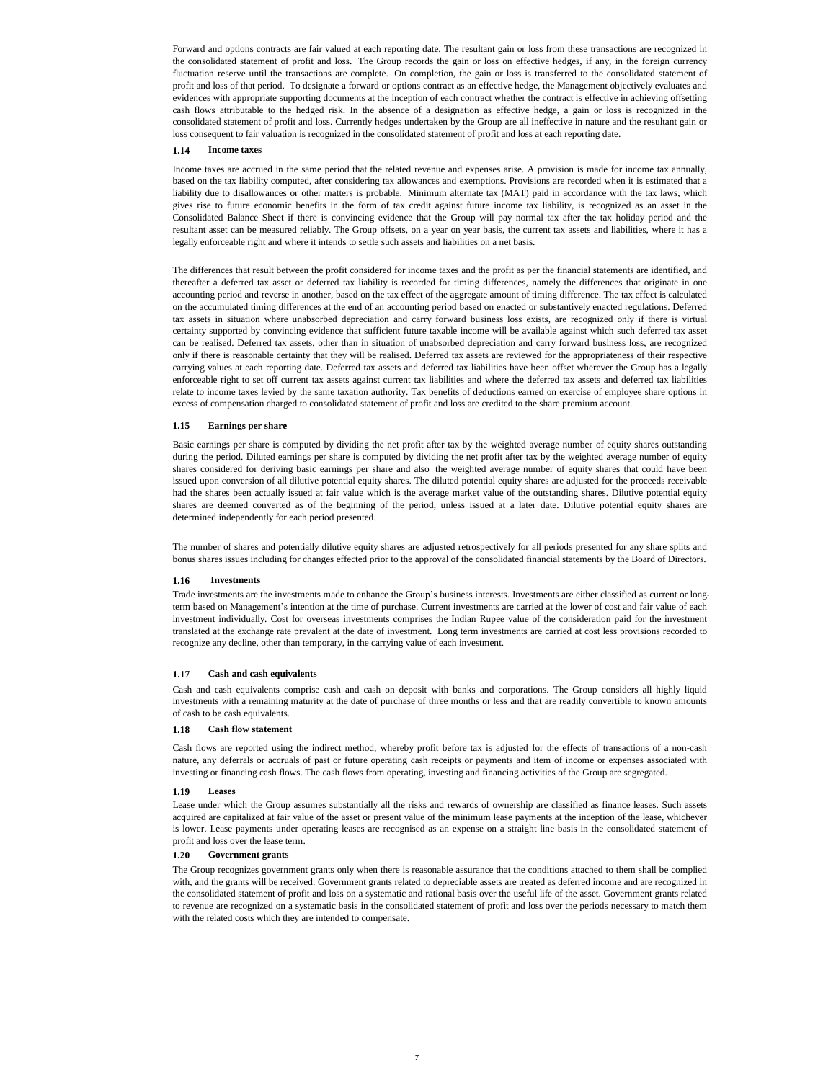Forward and options contracts are fair valued at each reporting date. The resultant gain or loss from these transactions are recognized in the consolidated statement of profit and loss. The Group records the gain or loss on effective hedges, if any, in the foreign currency fluctuation reserve until the transactions are complete. On completion, the gain or loss is transferred to the consolidated statement of profit and loss of that period. To designate a forward or options contract as an effective hedge, the Management objectively evaluates and evidences with appropriate supporting documents at the inception of each contract whether the contract is effective in achieving offsetting cash flows attributable to the hedged risk. In the absence of a designation as effective hedge, a gain or loss is recognized in the consolidated statement of profit and loss. Currently hedges undertaken by the Group are all ineffective in nature and the resultant gain or loss consequent to fair valuation is recognized in the consolidated statement of profit and loss at each reporting date.

#### **1.14 Income taxes**

Income taxes are accrued in the same period that the related revenue and expenses arise. A provision is made for income tax annually, based on the tax liability computed, after considering tax allowances and exemptions. Provisions are recorded when it is estimated that a liability due to disallowances or other matters is probable. Minimum alternate tax (MAT) paid in accordance with the tax laws, which gives rise to future economic benefits in the form of tax credit against future income tax liability, is recognized as an asset in the Consolidated Balance Sheet if there is convincing evidence that the Group will pay normal tax after the tax holiday period and the resultant asset can be measured reliably. The Group offsets, on a year on year basis, the current tax assets and liabilities, where it has a legally enforceable right and where it intends to settle such assets and liabilities on a net basis.

The differences that result between the profit considered for income taxes and the profit as per the financial statements are identified, and thereafter a deferred tax asset or deferred tax liability is recorded for timing differences, namely the differences that originate in one accounting period and reverse in another, based on the tax effect of the aggregate amount of timing difference. The tax effect is calculated on the accumulated timing differences at the end of an accounting period based on enacted or substantively enacted regulations. Deferred tax assets in situation where unabsorbed depreciation and carry forward business loss exists, are recognized only if there is virtual certainty supported by convincing evidence that sufficient future taxable income will be available against which such deferred tax asset can be realised. Deferred tax assets, other than in situation of unabsorbed depreciation and carry forward business loss, are recognized only if there is reasonable certainty that they will be realised. Deferred tax assets are reviewed for the appropriateness of their respective carrying values at each reporting date. Deferred tax assets and deferred tax liabilities have been offset wherever the Group has a legally enforceable right to set off current tax assets against current tax liabilities and where the deferred tax assets and deferred tax liabilities relate to income taxes levied by the same taxation authority. Tax benefits of deductions earned on exercise of employee share options in excess of compensation charged to consolidated statement of profit and loss are credited to the share premium account.

### **1.15 Earnings per share**

Basic earnings per share is computed by dividing the net profit after tax by the weighted average number of equity shares outstanding during the period. Diluted earnings per share is computed by dividing the net profit after tax by the weighted average number of equity shares considered for deriving basic earnings per share and also the weighted average number of equity shares that could have been issued upon conversion of all dilutive potential equity shares. The diluted potential equity shares are adjusted for the proceeds receivable had the shares been actually issued at fair value which is the average market value of the outstanding shares. Dilutive potential equity shares are deemed converted as of the beginning of the period, unless issued at a later date. Dilutive potential equity shares are determined independently for each period presented.

The number of shares and potentially dilutive equity shares are adjusted retrospectively for all periods presented for any share splits and bonus shares issues including for changes effected prior to the approval of the consolidated financial statements by the Board of Directors.

### **1.16 Investments**

Trade investments are the investments made to enhance the Group's business interests. Investments are either classified as current or longterm based on Management's intention at the time of purchase. Current investments are carried at the lower of cost and fair value of each investment individually. Cost for overseas investments comprises the Indian Rupee value of the consideration paid for the investment translated at the exchange rate prevalent at the date of investment. Long term investments are carried at cost less provisions recorded to recognize any decline, other than temporary, in the carrying value of each investment.

#### **1.17 Cash and cash equivalents**

Cash and cash equivalents comprise cash and cash on deposit with banks and corporations. The Group considers all highly liquid investments with a remaining maturity at the date of purchase of three months or less and that are readily convertible to known amounts of cash to be cash equivalents.

#### **1.18 Cash flow statement**

Cash flows are reported using the indirect method, whereby profit before tax is adjusted for the effects of transactions of a non-cash nature, any deferrals or accruals of past or future operating cash receipts or payments and item of income or expenses associated with investing or financing cash flows. The cash flows from operating, investing and financing activities of the Group are segregated.

#### **1.19 Leases**

Lease under which the Group assumes substantially all the risks and rewards of ownership are classified as finance leases. Such assets acquired are capitalized at fair value of the asset or present value of the minimum lease payments at the inception of the lease, whichever is lower. Lease payments under operating leases are recognised as an expense on a straight line basis in the consolidated statement of profit and loss over the lease term.

### **1.20 Government grants**

The Group recognizes government grants only when there is reasonable assurance that the conditions attached to them shall be complied with, and the grants will be received. Government grants related to depreciable assets are treated as deferred income and are recognized in the consolidated statement of profit and loss on a systematic and rational basis over the useful life of the asset. Government grants related to revenue are recognized on a systematic basis in the consolidated statement of profit and loss over the periods necessary to match them with the related costs which they are intended to compensate.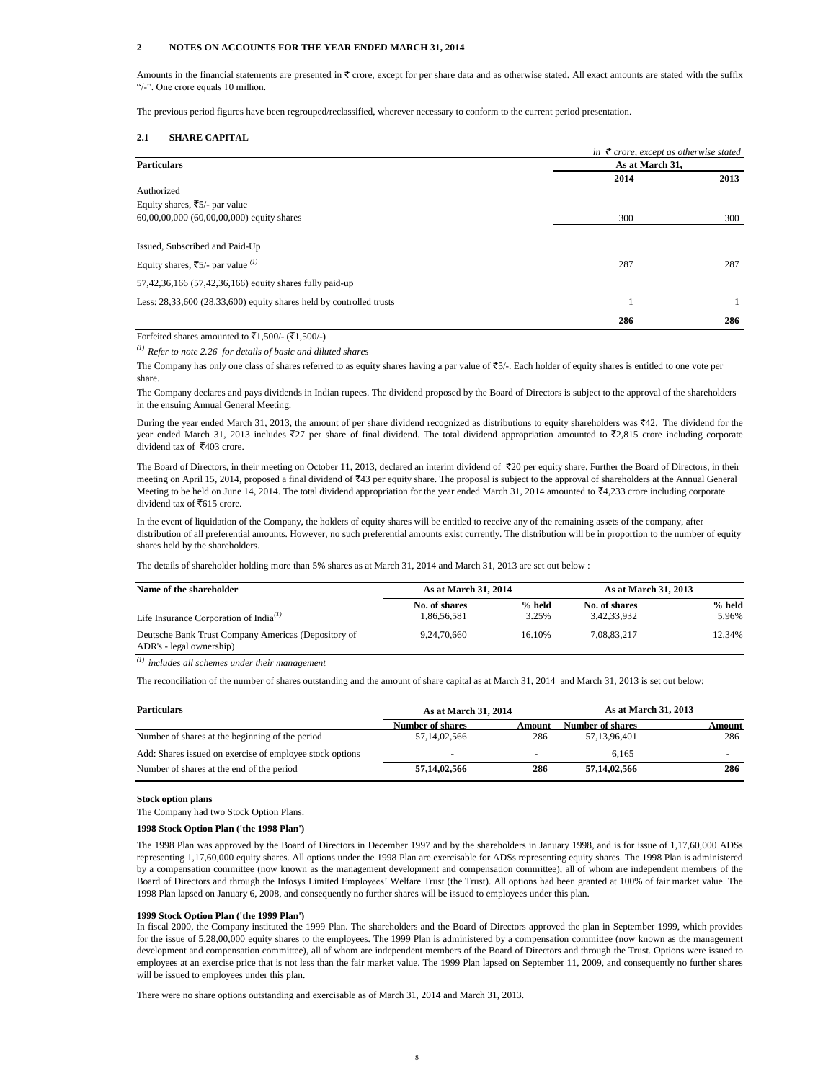# **2 NOTES ON ACCOUNTS FOR THE YEAR ENDED MARCH 31, 2014**

Amounts in the financial statements are presented in  $\overline{\epsilon}$  crore, except for per share data and as otherwise stated. All exact amounts are stated with the suffix "/-". One crore equals 10 million.

The previous period figures have been regrouped/reclassified, wherever necessary to conform to the current period presentation.

# **2.1 SHARE CAPITAL**

|                                                                         | in $\bar{\tau}$ crore, except as otherwise stated |      |
|-------------------------------------------------------------------------|---------------------------------------------------|------|
| <b>Particulars</b>                                                      | As at March 31.                                   |      |
|                                                                         | 2014                                              | 2013 |
| Authorized                                                              |                                                   |      |
| Equity shares, ₹5/- par value                                           |                                                   |      |
| $60,00,00,000$ $(60,00,00,000)$ equity shares                           | 300                                               | 300  |
|                                                                         |                                                   |      |
| Issued, Subscribed and Paid-Up                                          |                                                   |      |
| Equity shares, $\overline{5}/$ - par value $^{(1)}$                     | 287                                               | 287  |
| 57,42,36,166 (57,42,36,166) equity shares fully paid-up                 |                                                   |      |
| Less: $28,33,600$ $(28,33,600)$ equity shares held by controlled trusts |                                                   |      |
|                                                                         | 286                                               | 286  |

Forfeited shares amounted to  $\bar{z}1,500/(-\bar{z}1,500/4)$ 

*(1) Refer to note 2.26 for details of basic and diluted shares*

The Company has only one class of shares referred to as equity shares having a par value of  $\overline{5}/$ . Each holder of equity shares is entitled to one vote per share.

The Company declares and pays dividends in Indian rupees. The dividend proposed by the Board of Directors is subject to the approval of the shareholders in the ensuing Annual General Meeting.

During the year ended March 31, 2013, the amount of per share dividend recognized as distributions to equity shareholders was  $\bar{z}$ 42. The dividend for the year ended March 31, 2013 includes  $\overline{z}27$  per share of final dividend. The total dividend appropriation amounted to  $\overline{z}2.815$  crore including corporate dividend tax of  $\overline{$}403$  crore.

The Board of Directors, in their meeting on October 11, 2013, declared an interim dividend of ₹20 per equity share. Further the Board of Directors, in their meeting on April 15, 2014, proposed a final dividend of ₹43 per equity share. The proposal is subject to the approval of shareholders at the Annual General Meeting to be held on June 14, 2014. The total dividend appropriation for the year ended March 31, 2014 amounted to  $\overline{54}4,233$  crore including corporate dividend tax of  $\overline{\textless}615$  crore.

In the event of liquidation of the Company, the holders of equity shares will be entitled to receive any of the remaining assets of the company, after distribution of all preferential amounts. However, no such preferential amounts exist currently. The distribution will be in proportion to the number of equity shares held by the shareholders.

The details of shareholder holding more than 5% shares as at March 31, 2014 and March 31, 2013 are set out below :

| Name of the shareholder                                                         | As at March 31, 2014 |        |               | As at March 31, 2013 |  |
|---------------------------------------------------------------------------------|----------------------|--------|---------------|----------------------|--|
|                                                                                 | No. of shares        | % held | No. of shares | % held               |  |
| Life Insurance Corporation of India <sup>(1)</sup>                              | 1.86.56.581          | 3.25%  | 3.42.33.932   | 5.96%                |  |
| Deutsche Bank Trust Company Americas (Depository of<br>ADR's - legal ownership) | 9.24.70.660          | 16.10% | 7.08.83.217   | 12.34%               |  |

*(1) includes all schemes under their management*

The reconciliation of the number of shares outstanding and the amount of share capital as at March 31, 2014 and March 31, 2013 is set out below:

| <b>Particulars</b>                                       | As at March 31, 2014 |        | As at March 31, 2013 |        |
|----------------------------------------------------------|----------------------|--------|----------------------|--------|
|                                                          | Number of shares     | Amount | Number of shares     | Amount |
| Number of shares at the beginning of the period          | 57,14,02,566         | 286    | 57.13.96.401         | 286    |
| Add: Shares issued on exercise of employee stock options | -                    | -      | 6.165                |        |
| Number of shares at the end of the period                | 57,14,02,566         | 286    | 57,14,02,566         | 286    |

### **Stock option plans**

The Company had two Stock Option Plans.

## **1998 Stock Option Plan ('the 1998 Plan')**

The 1998 Plan was approved by the Board of Directors in December 1997 and by the shareholders in January 1998, and is for issue of 1,17,60,000 ADSs representing 1,17,60,000 equity shares. All options under the 1998 Plan are exercisable for ADSs representing equity shares. The 1998 Plan is administered by a compensation committee (now known as the management development and compensation committee), all of whom are independent members of the Board of Directors and through the Infosys Limited Employees' Welfare Trust (the Trust). All options had been granted at 100% of fair market value. The 1998 Plan lapsed on January 6, 2008, and consequently no further shares will be issued to employees under this plan.

### **1999 Stock Option Plan ('the 1999 Plan')**

In fiscal 2000, the Company instituted the 1999 Plan. The shareholders and the Board of Directors approved the plan in September 1999, which provides for the issue of 5,28,00,000 equity shares to the employees. The 1999 Plan is administered by a compensation committee (now known as the management development and compensation committee), all of whom are independent members of the Board of Directors and through the Trust. Options were issued to employees at an exercise price that is not less than the fair market value. The 1999 Plan lapsed on September 11, 2009, and consequently no further shares will be issued to employees under this plan.

There were no share options outstanding and exercisable as of March 31, 2014 and March 31, 2013.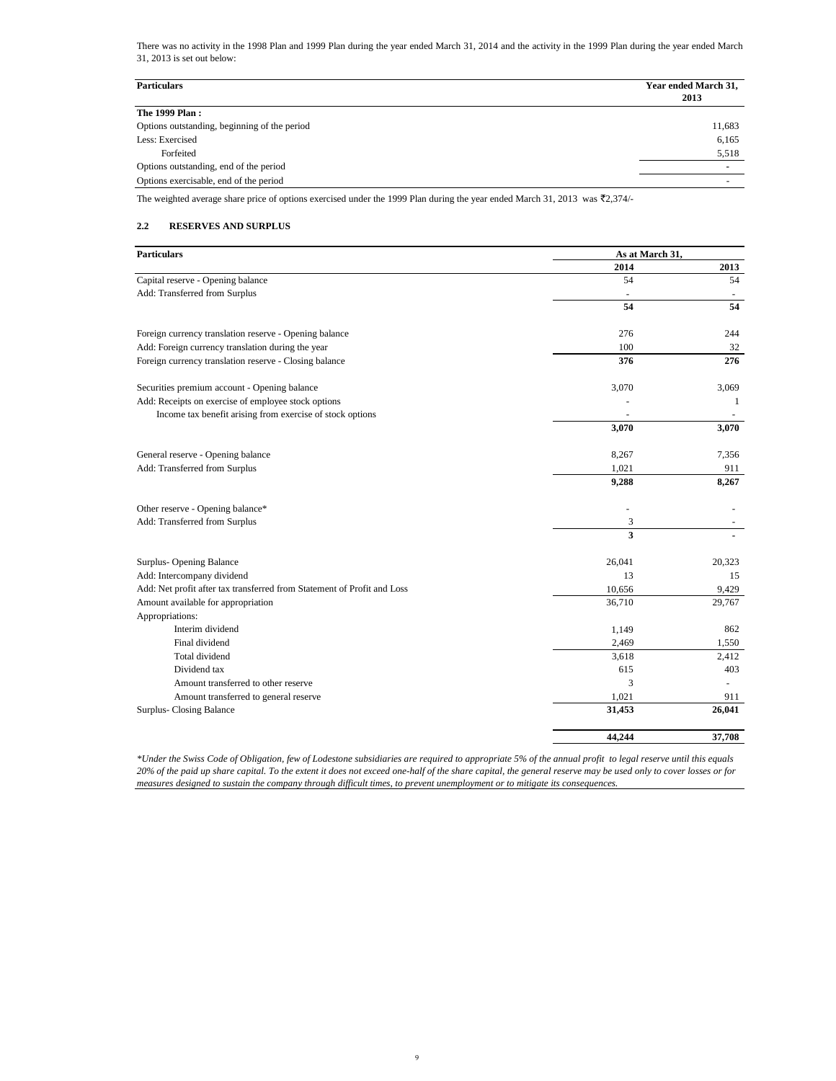There was no activity in the 1998 Plan and 1999 Plan during the year ended March 31, 2014 and the activity in the 1999 Plan during the year ended March 31, 2013 is set out below:

| <b>Particulars</b>                           | Year ended March 31,<br>2013 |
|----------------------------------------------|------------------------------|
| The 1999 Plan:                               |                              |
| Options outstanding, beginning of the period | 11,683                       |
| Less: Exercised                              | 6,165                        |
| Forfeited                                    | 5,518                        |
| Options outstanding, end of the period       |                              |
| Options exercisable, end of the period       |                              |

The weighted average share price of options exercised under the 1999 Plan during the year ended March 31, 2013 was  $\bar{\bar{\xi}}2,374/$ -

# **2.2 RESERVES AND SURPLUS**

| <b>Particulars</b>                                                      | As at March 31, |        |
|-------------------------------------------------------------------------|-----------------|--------|
|                                                                         | 2014            | 2013   |
| Capital reserve - Opening balance                                       | 54              | 54     |
| Add: Transferred from Surplus                                           |                 |        |
|                                                                         | 54              | 54     |
| Foreign currency translation reserve - Opening balance                  | 276             | 244    |
| Add: Foreign currency translation during the year                       | 100             | 32     |
| Foreign currency translation reserve - Closing balance                  | 376             | 276    |
| Securities premium account - Opening balance                            | 3,070           | 3,069  |
| Add: Receipts on exercise of employee stock options                     |                 | 1      |
| Income tax benefit arising from exercise of stock options               |                 |        |
|                                                                         | 3,070           | 3,070  |
| General reserve - Opening balance                                       | 8,267           | 7,356  |
| Add: Transferred from Surplus                                           | 1,021           | 911    |
|                                                                         | 9,288           | 8,267  |
| Other reserve - Opening balance*                                        | ÷,              |        |
| Add: Transferred from Surplus                                           | 3               |        |
|                                                                         | 3               |        |
| Surplus- Opening Balance                                                | 26,041          | 20,323 |
| Add: Intercompany dividend                                              | 13              | 15     |
| Add: Net profit after tax transferred from Statement of Profit and Loss | 10,656          | 9,429  |
| Amount available for appropriation                                      | 36,710          | 29,767 |
| Appropriations:                                                         |                 |        |
| Interim dividend                                                        | 1,149           | 862    |
| Final dividend                                                          | 2,469           | 1,550  |
| Total dividend                                                          | 3,618           | 2,412  |
| Dividend tax                                                            | 615             | 403    |
| Amount transferred to other reserve                                     | 3               |        |
| Amount transferred to general reserve                                   | 1,021           | 911    |
| <b>Surplus-Closing Balance</b>                                          | 31,453          | 26,041 |
|                                                                         | 44,244          | 37,708 |

*\*Under the Swiss Code of Obligation, few of Lodestone subsidiaries are required to appropriate 5% of the annual profit to legal reserve until this equals 20% of the paid up share capital. To the extent it does not exceed one-half of the share capital, the general reserve may be used only to cover losses or for measures designed to sustain the company through difficult times, to prevent unemployment or to mitigate its consequences.*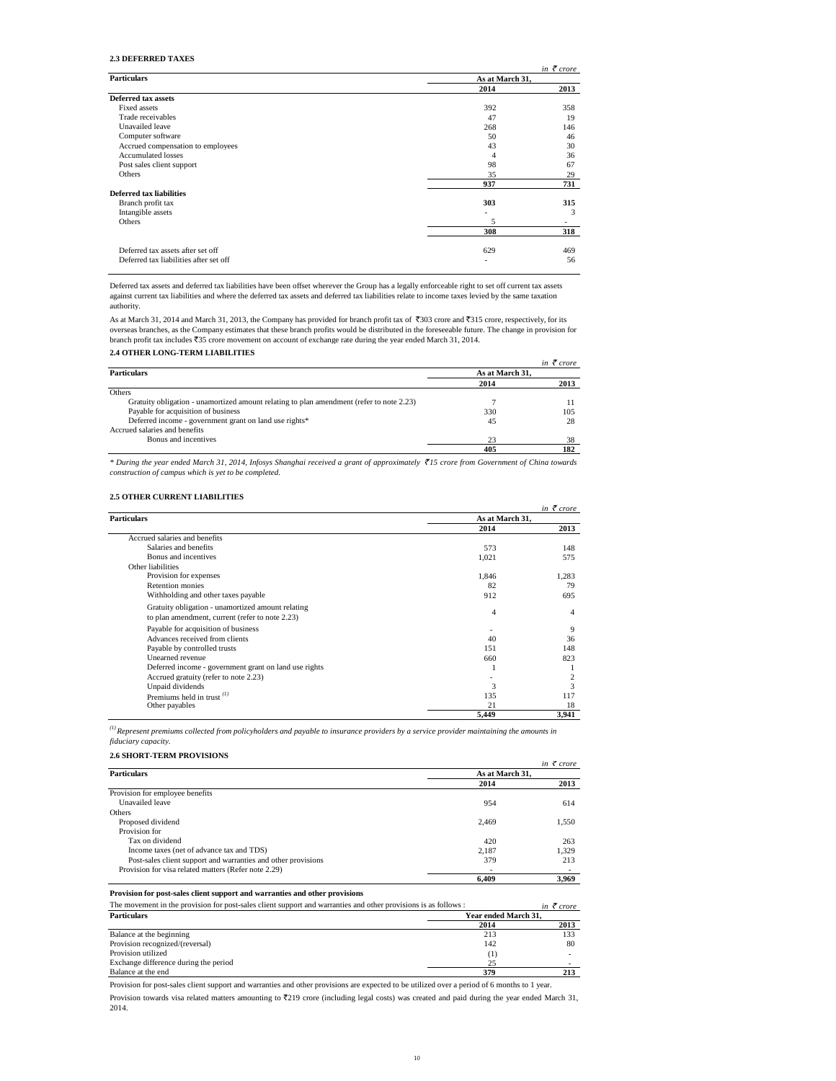# **2.3 DEFERRED TAXES**

|                                        |                 | in $\bar{\tau}$ crore |
|----------------------------------------|-----------------|-----------------------|
| <b>Particulars</b>                     | As at March 31, |                       |
|                                        | 2014            | 2013                  |
| <b>Deferred tax assets</b>             |                 |                       |
| Fixed assets                           | 392             | 358                   |
| Trade receivables                      | 47              | 19                    |
| Unavailed leave                        | 268             | 146                   |
| Computer software                      | 50              | 46                    |
| Accrued compensation to employees      | 43              | 30                    |
| <b>Accumulated losses</b>              | 4               | 36                    |
| Post sales client support              | 98              | 67                    |
| Others                                 | 35              | 29                    |
|                                        | 937             | 731                   |
| Deferred tax liabilities               |                 |                       |
| Branch profit tax                      | 303             | 315                   |
| Intangible assets                      |                 | 3                     |
| Others                                 | 5               |                       |
|                                        | 308             | 318                   |
|                                        |                 |                       |
| Deferred tax assets after set off      | 629             | 469                   |
| Deferred tax liabilities after set off |                 | 56                    |
|                                        |                 |                       |

Deferred tax assets and deferred tax liabilities have been offset wherever the Group has a legally enforceable right to set off current tax assets against current tax liabilities and where the deferred tax assets and deferred tax liabilities relate to income taxes levied by the same taxation authority.

As at March 31, 2014 and March 31, 2013, the Company has provided for branch profit tax of  $\bar{3}303$  crore and  $\bar{3}15$  crore, respectively, for its overseas branches, as the Company estimates that these branch profits would be distributed in the foreseeable future. The change in provision for<br>branch profit tax includes ₹35 crore movement on account of exchange rate d

# **2.4 OTHER LONG-TERM LIABILITIES**

|                                                                                          |                 | in $\bar{\tau}$ crore |
|------------------------------------------------------------------------------------------|-----------------|-----------------------|
| <b>Particulars</b>                                                                       | As at March 31. |                       |
|                                                                                          | 2014            | 2013                  |
| Others                                                                                   |                 |                       |
| Gratuity obligation - unamortized amount relating to plan amendment (refer to note 2.23) |                 |                       |
| Payable for acquisition of business                                                      | 330             | 105                   |
| Deferred income - government grant on land use rights*                                   | 45              | 28                    |
| Accrued salaries and benefits                                                            |                 |                       |
| Bonus and incentives                                                                     | 23              | 38                    |
|                                                                                          | 405             | 182                   |

\* During the year ended March 31, 2014, Infosys Shanghai received a grant of approximately ₹15 crore from Government of China towards *construction of campus which is yet to be completed.*

# **2.5 OTHER CURRENT LIABILITIES**

 $\overline{a}$ 

|                                                       |                 | in $\bar{\tau}$ crore |  |
|-------------------------------------------------------|-----------------|-----------------------|--|
| Particulars                                           | As at March 31. |                       |  |
|                                                       | 2014            | 2013                  |  |
| Accrued salaries and benefits                         |                 |                       |  |
| Salaries and benefits                                 | 573             | 148                   |  |
| Bonus and incentives                                  | 1,021           | 575                   |  |
| Other liabilities                                     |                 |                       |  |
| Provision for expenses                                | 1.846           | 1.283                 |  |
| Retention monies                                      | 82              | 79                    |  |
| Withholding and other taxes payable                   | 912             | 695                   |  |
| Gratuity obligation - unamortized amount relating     |                 |                       |  |
| to plan amendment, current (refer to note 2.23)       | 4               | $\overline{4}$        |  |
| Payable for acquisition of business                   |                 | 9                     |  |
| Advances received from clients                        | 40              | 36                    |  |
| Payable by controlled trusts                          | 151             | 148                   |  |
| Unearned revenue                                      | 660             | 823                   |  |
| Deferred income - government grant on land use rights |                 |                       |  |
| Accrued gratuity (refer to note 2.23)                 |                 |                       |  |
| Unpaid dividends                                      | 3               | 3                     |  |
| Premiums held in trust $^{(1)}$                       | 135             | 117                   |  |
| Other payables                                        | 21              | 18                    |  |
|                                                       | 5,449           | 3,941                 |  |

*(1)Represent premiums collected from policyholders and payable to insurance providers by a service provider maintaining the amounts in fiduciary capacity.*

### **2.6 SHORT-TERM PROVISIONS**

|                                                               |                 | in $\bar{\tau}$ crore |
|---------------------------------------------------------------|-----------------|-----------------------|
| <b>Particulars</b>                                            | As at March 31. |                       |
|                                                               | 2014            | 2013                  |
| Provision for employee benefits                               |                 |                       |
| Unavailed leave                                               | 954             | 614                   |
| Others                                                        |                 |                       |
| Proposed dividend                                             | 2.469           | 1,550                 |
| Provision for                                                 |                 |                       |
| Tax on dividend                                               | 420             | 263                   |
| Income taxes (net of advance tax and TDS)                     | 2.187           | 1.329                 |
| Post-sales client support and warranties and other provisions | 379             | 213                   |
| Provision for visa related matters (Refer note 2.29)          | -               |                       |
|                                                               | 6.409           | 3.969                 |

# **Provision for post-sales client support and warranties and other provisions**

| The movement in the provision for post-sales client support and warranties and other provisions is as follows : |                      | in $\bar{\tau}$ crore |  |  |
|-----------------------------------------------------------------------------------------------------------------|----------------------|-----------------------|--|--|
| <b>Particulars</b>                                                                                              | Year ended March 31. |                       |  |  |
|                                                                                                                 | 2014                 | 2013                  |  |  |
| Balance at the beginning                                                                                        | 213                  | 133                   |  |  |
| Provision recognized/(reversal)                                                                                 | 142                  | 80                    |  |  |
| Provision utilized                                                                                              |                      |                       |  |  |
| Exchange difference during the period                                                                           | 25                   |                       |  |  |
| Balance at the end                                                                                              | 379                  |                       |  |  |

Provision for post-sales client support and warranties and other provisions are expected to be utilized over a period of 6 months to 1 year.

Provision towards visa related matters amounting to `219 crore (including legal costs) was created and paid during the year ended March 31, 2014.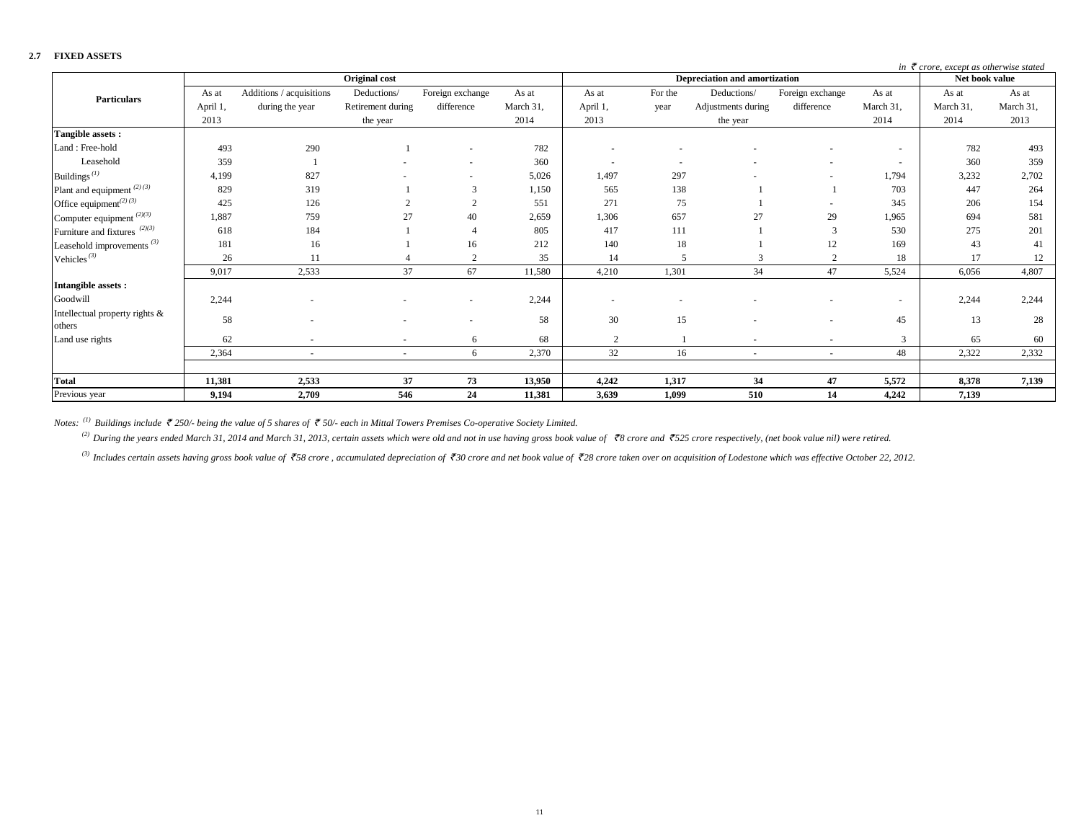| .                                               |          |                          |                   |                          |           |                |                          |                                      |                  |                | in $\bar{\tau}$ crore, except as otherwise stated |           |
|-------------------------------------------------|----------|--------------------------|-------------------|--------------------------|-----------|----------------|--------------------------|--------------------------------------|------------------|----------------|---------------------------------------------------|-----------|
|                                                 |          |                          | Original cost     |                          |           |                |                          | <b>Depreciation and amortization</b> |                  |                | Net book value                                    |           |
| <b>Particulars</b>                              | As at    | Additions / acquisitions | Deductions/       | Foreign exchange         | As at     | As at          | For the                  | Deductions/                          | Foreign exchange | As at          | As at                                             | As at     |
|                                                 | April 1, | during the year          | Retirement during | difference               | March 31, | April 1,       | year                     | Adjustments during                   | difference       | March 31,      | March 31,                                         | March 31, |
|                                                 | 2013     |                          | the year          |                          | 2014      | 2013           |                          | the year                             |                  | 2014           | 2014                                              | 2013      |
| Tangible assets:                                |          |                          |                   |                          |           |                |                          |                                      |                  |                |                                                   |           |
| Land: Free-hold                                 | 493      | 290                      |                   | ٠                        | 782       |                |                          |                                      |                  | $\overline{a}$ | 782                                               | 493       |
| Leasehold                                       | 359      |                          |                   | $\sim$                   | 360       |                | $\overline{\phantom{a}}$ |                                      |                  | $\sim$         | 360                                               | 359       |
| Buildings $^{(1)}$                              | 4,199    | 827                      |                   |                          | 5,026     | 1,497          | 297                      |                                      |                  | 1,794          | 3,232                                             | 2,702     |
| Plant and equipment $^{(2)(3)}$                 | 829      | 319                      |                   | 3                        | 1,150     | 565            | 138                      |                                      |                  | 703            | 447                                               | 264       |
| Office equipment <sup><math>(2)(3)</math></sup> | 425      | 126                      |                   |                          | 551       | 271            | 75                       |                                      |                  | 345            | 206                                               | 154       |
| Computer equipment $^{(2)(3)}$                  | 1,887    | 759                      | 27                | 40                       | 2,659     | 1,306          | 657                      | 27                                   | 29               | 1,965          | 694                                               | 581       |
| Furniture and fixtures $(2)(3)$                 | 618      | 184                      |                   |                          | 805       | 417            | 111                      |                                      | 3                | 530            | 275                                               | 201       |
| Leasehold improvements <sup>(3)</sup>           | 181      | 16                       |                   | 16                       | 212       | 140            | 18                       |                                      | 12               | 169            | 43                                                | 41        |
| Vehicles <sup><math>(3)</math></sup>            | 26       | 11                       |                   | $\Omega$                 | 35        | 14             | $\overline{\phantom{0}}$ |                                      | $\overline{2}$   | 18             | 17                                                | 12        |
|                                                 | 9,017    | 2,533                    | 37                | 67                       | 11,580    | 4,210          | 1,301                    | 34                                   | 47               | 5,524          | 6,056                                             | 4,807     |
| Intangible assets:                              |          |                          |                   |                          |           |                |                          |                                      |                  |                |                                                   |           |
| Goodwill                                        | 2,244    |                          |                   |                          | 2,244     |                |                          |                                      |                  | $\overline{a}$ | 2,244                                             | 2,244     |
| Intellectual property rights &<br>others        | 58       |                          |                   | $\overline{\phantom{a}}$ | 58        | 30             | 15                       |                                      |                  | 45             | 13                                                | 28        |
| Land use rights                                 | 62       |                          | ٠                 | 6                        | 68        | $\overline{c}$ |                          |                                      | ٠                | 3              | 65                                                | 60        |
|                                                 | 2,364    | $\sim$                   | $\sim$            | 6                        | 2,370     | 32             | 16                       | $\overline{\phantom{a}}$             | $\sim$           | 48             | 2,322                                             | 2,332     |
| <b>Total</b>                                    | 11,381   | 2,533                    | 37                | 73                       | 13,950    | 4,242          | 1,317                    | 34                                   | 47               | 5,572          | 8,378                                             | 7,139     |
| Previous year                                   | 9,194    | 2,709                    | 546               | 24                       | 11,381    | 3,639          | 1,099                    | 510                                  | 14               | 4,242          | 7,139                                             |           |
|                                                 |          |                          |                   |                          |           |                |                          |                                      |                  |                |                                                   |           |

**2.7 FIXED ASSETS** 

*Notes: (1) Buildings include* ` *250/- being the value of 5 shares of* ` *50/- each in Mittal Towers Premises Co-operative Society Limited.*

<sup>(2)</sup> During the years ended March 31, 2014 and March 31, 2013, certain assets which were old and not in use having gross book value of  $\bar{\tau}$ 8 crore and  $\bar{\tau}$ 525 crore respectively, (net book value nil) were retired.

<sup>(3)</sup> Includes certain assets having gross book value of ₹58 crore, accumulated depreciation of ₹30 crore and net book value of ₹28 crore taken over on acquisition of Lodestone which was effective October 22, 2012.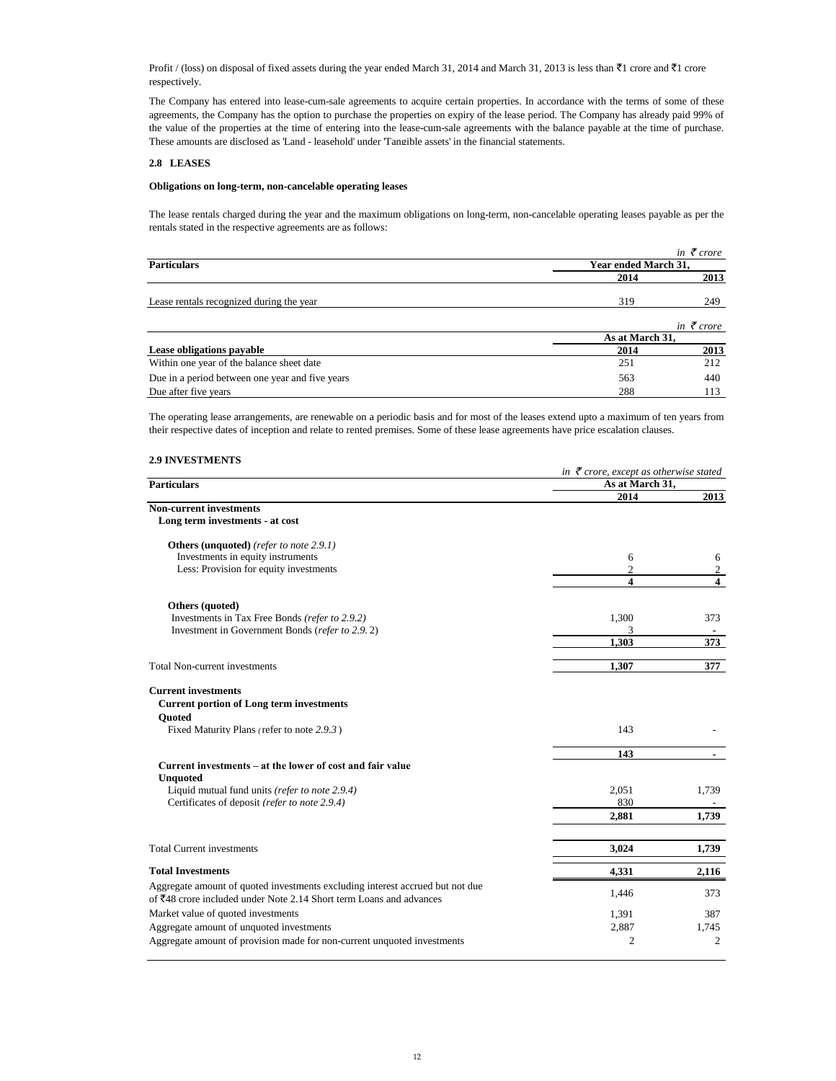Profit / (loss) on disposal of fixed assets during the year ended March 31, 2014 and March 31, 2013 is less than  $\bar{\tau}$ 1 crore and  $\bar{\tau}$ 1 crore respectively.

The Company has entered into lease-cum-sale agreements to acquire certain properties. In accordance with the terms of some of these agreements, the Company has the option to purchase the properties on expiry of the lease period. The Company has already paid 99% of the value of the properties at the time of entering into the lease-cum-sale agreements with the balance payable at the time of purchase. These amounts are disclosed as 'Land - leasehold' under 'Tangible assets' in the financial statements.

# **2.8 LEASES**

# **Obligations on long-term, non-cancelable operating leases**

The lease rentals charged during the year and the maximum obligations on long-term, non-cancelable operating leases payable as per the rentals stated in the respective agreements are as follows:

|                                                 |                      | in $\bar{\tau}$ crore |
|-------------------------------------------------|----------------------|-----------------------|
| <b>Particulars</b>                              | Year ended March 31. |                       |
|                                                 | 2014                 | 2013                  |
| Lease rentals recognized during the year        | 319                  | 249                   |
|                                                 |                      | in $\bar{\tau}$ crore |
|                                                 | As at March 31,      |                       |
| Lease obligations payable                       | 2014                 | 2013                  |
| Within one year of the balance sheet date       | 251                  | 212                   |
| Due in a period between one year and five years | 563                  | 440                   |
| Due after five years                            | 288                  | 113                   |

The operating lease arrangements, are renewable on a periodic basis and for most of the leases extend upto a maximum of ten years from their respective dates of inception and relate to rented premises. Some of these lease agreements have price escalation clauses.

# **2.9 INVESTMENTS**

| 4.7 ил у во нивели в                                                          | in $\bar{\tau}$ crore, except as otherwise stated |                                  |
|-------------------------------------------------------------------------------|---------------------------------------------------|----------------------------------|
| <b>Particulars</b>                                                            | As at March 31,                                   |                                  |
|                                                                               | 2014                                              | 2013                             |
| <b>Non-current investments</b><br>Long term investments - at cost             |                                                   |                                  |
| <b>Others (unquoted)</b> (refer to note 2.9.1)                                |                                                   |                                  |
| Investments in equity instruments                                             | 6                                                 | 6                                |
| Less: Provision for equity investments                                        | $\overline{2}$<br>$\boldsymbol{4}$                | $\overline{2}$<br>$\overline{4}$ |
| Others (quoted)                                                               |                                                   |                                  |
| Investments in Tax Free Bonds (refer to 2.9.2)                                | 1,300                                             | 373                              |
| Investment in Government Bonds (refer to 2.9.2)                               | 3                                                 |                                  |
|                                                                               | 1.303                                             | 373                              |
| <b>Total Non-current investments</b>                                          | 1,307                                             | 377                              |
| <b>Current investments</b>                                                    |                                                   |                                  |
| <b>Current portion of Long term investments</b><br><b>Ouoted</b>              |                                                   |                                  |
| Fixed Maturity Plans (refer to note 2.9.3)                                    | 143                                               |                                  |
|                                                                               | 143                                               |                                  |
| Current investments – at the lower of cost and fair value<br><b>Unquoted</b>  |                                                   |                                  |
| Liquid mutual fund units (refer to note 2.9.4)                                | 2,051                                             | 1,739                            |
| Certificates of deposit (refer to note 2.9.4)                                 | 830                                               |                                  |
|                                                                               | 2.881                                             | 1,739                            |
| <b>Total Current investments</b>                                              | 3,024                                             | 1,739                            |
| <b>Total Investments</b>                                                      | 4,331                                             | 2,116                            |
| Aggregate amount of quoted investments excluding interest accrued but not due | 1,446                                             | 373                              |
| of ₹48 crore included under Note 2.14 Short term Loans and advances           |                                                   |                                  |
| Market value of quoted investments                                            | 1,391                                             | 387                              |
| Aggregate amount of unquoted investments                                      | 2,887                                             | 1,745                            |
| Aggregate amount of provision made for non-current unquoted investments       | $\overline{2}$                                    | 2                                |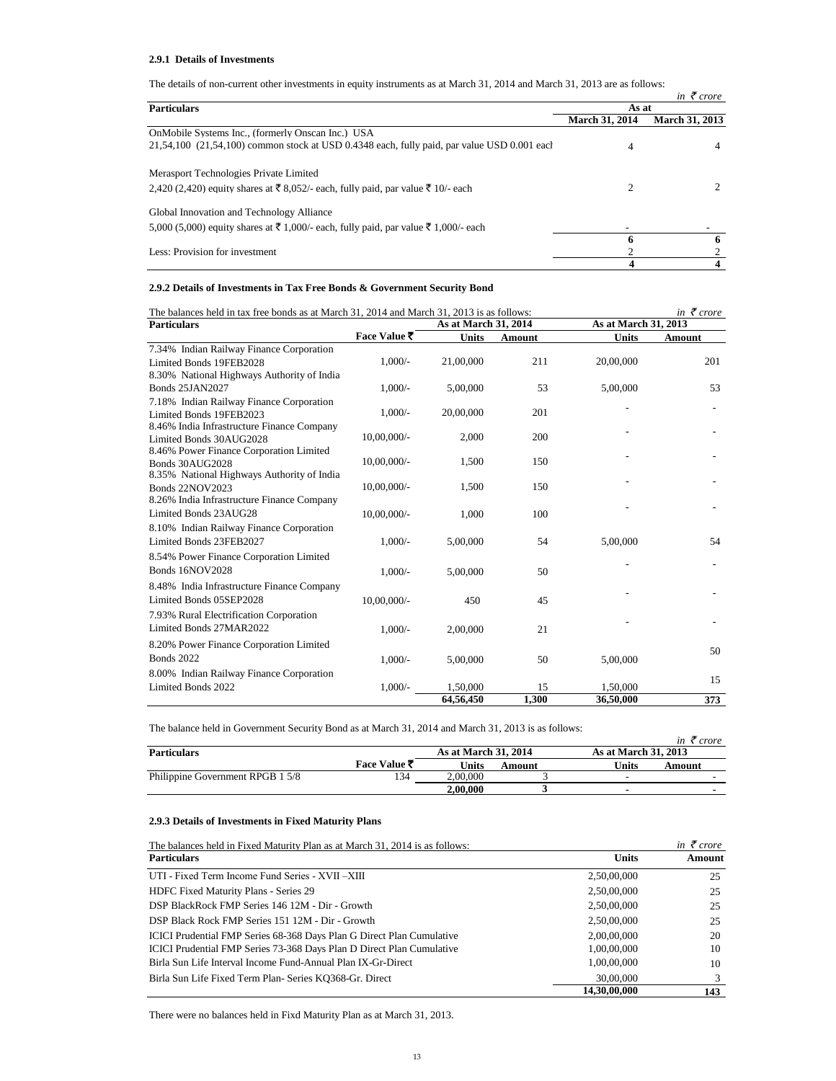# **2.9.1 Details of Investments**

The details of non-current other investments in equity instruments as at March 31, 2014 and March 31, 2013 are as follows:

|                                                                                                         |                       | in $\bar{\tau}$ crore |  |
|---------------------------------------------------------------------------------------------------------|-----------------------|-----------------------|--|
| <b>Particulars</b>                                                                                      | As at                 |                       |  |
|                                                                                                         | <b>March 31, 2014</b> | <b>March 31, 2013</b> |  |
| OnMobile Systems Inc., (formerly Onscan Inc.) USA                                                       |                       |                       |  |
| $21,54,100$ ( $21,54,100$ ) common stock at USD 0.4348 each, fully paid, par value USD 0.001 each       | 4                     |                       |  |
| Merasport Technologies Private Limited                                                                  |                       |                       |  |
| 2,420 (2,420) equity shares at ₹ 8,052/- each, fully paid, par value ₹ 10/- each                        | $\overline{c}$        |                       |  |
| Global Innovation and Technology Alliance                                                               |                       |                       |  |
| 5,000 (5,000) equity shares at $\bar{\xi}$ 1,000/- each, fully paid, par value $\bar{\xi}$ 1,000/- each |                       |                       |  |
|                                                                                                         | -6                    | h                     |  |
| Less: Provision for investment                                                                          |                       |                       |  |
|                                                                                                         | 4                     |                       |  |

# **2.9.2 Details of Investments in Tax Free Bonds & Government Security Bond**

| The balances held in tax free bonds as at March 31, 2014 and March 31, 2013 is as follows: |                |                      |        |                      | in $\bar{\tau}$ crore |
|--------------------------------------------------------------------------------------------|----------------|----------------------|--------|----------------------|-----------------------|
| <b>Particulars</b>                                                                         |                | As at March 31, 2014 |        | As at March 31, 2013 |                       |
|                                                                                            | Face Value ₹   | <b>Units</b>         | Amount | <b>Units</b>         | Amount                |
| 7.34% Indian Railway Finance Corporation                                                   |                |                      |        |                      |                       |
| Limited Bonds 19FEB2028                                                                    | $1,000/-$      | 21,00,000            | 211    | 20,00,000            | 201                   |
| 8.30% National Highways Authority of India                                                 |                |                      |        |                      |                       |
| <b>Bonds 25JAN2027</b>                                                                     | $1.000/-$      | 5,00,000             | 53     | 5,00,000             | 53                    |
| 7.18% Indian Railway Finance Corporation                                                   |                |                      |        |                      |                       |
| Limited Bonds 19FEB2023                                                                    | $1,000/-$      | 20,00,000            | 201    |                      |                       |
| 8.46% India Infrastructure Finance Company                                                 |                |                      |        |                      |                       |
| Limited Bonds 30AUG2028                                                                    | $10,00,000/$ - | 2,000                | 200    |                      |                       |
| 8.46% Power Finance Corporation Limited                                                    |                |                      |        |                      |                       |
| Bonds 30AUG2028                                                                            | $10,00,000/$ - | 1,500                | 150    |                      |                       |
| 8.35% National Highways Authority of India                                                 |                |                      |        |                      |                       |
| <b>Bonds 22NOV2023</b>                                                                     | $10,00,000/$ - | 1,500                | 150    |                      |                       |
| 8.26% India Infrastructure Finance Company                                                 |                |                      |        |                      |                       |
| Limited Bonds 23AUG28                                                                      | $10,00,000/$ - | 1,000                | 100    |                      |                       |
| 8.10% Indian Railway Finance Corporation                                                   |                |                      |        |                      |                       |
| Limited Bonds 23FEB2027                                                                    | $1.000/-$      | 5,00,000             | 54     | 5.00.000             | 54                    |
| 8.54% Power Finance Corporation Limited                                                    |                |                      |        |                      |                       |
| <b>Bonds 16NOV2028</b>                                                                     | $1,000/-$      | 5,00,000             | 50     |                      |                       |
| 8.48% India Infrastructure Finance Company                                                 |                |                      |        |                      |                       |
| Limited Bonds 05SEP2028                                                                    | 10,00,000/-    | 450                  | 45     |                      |                       |
| 7.93% Rural Electrification Corporation                                                    |                |                      |        |                      |                       |
| Limited Bonds 27MAR2022                                                                    |                |                      |        |                      |                       |
|                                                                                            | $1,000/-$      | 2,00,000             | 21     |                      |                       |
| 8.20% Power Finance Corporation Limited                                                    |                |                      |        |                      | 50                    |
| <b>Bonds 2022</b>                                                                          | $1,000/-$      | 5,00,000             | 50     | 5,00,000             |                       |
| 8.00% Indian Railway Finance Corporation                                                   |                |                      |        |                      |                       |
| Limited Bonds 2022                                                                         | $1.000/-$      | 1.50,000             | 15     | 1,50,000             | 15                    |
|                                                                                            |                | 64,56,450            | 1,300  | 36,50,000            | 373                   |

The balance held in Government Security Bond as at March 31, 2014 and March 31, 2013 is as follows:

| The canalely here in Octoninion peemity Done as activities for the more wind the context of the concert of |              |                      |        |                             | in $\zeta$ crore |
|------------------------------------------------------------------------------------------------------------|--------------|----------------------|--------|-----------------------------|------------------|
| <b>Particulars</b>                                                                                         |              | As at March 31, 2014 |        | <b>As at March 31, 2013</b> |                  |
|                                                                                                            | Face Value ₹ | Units                | Amount | Units                       | Amount           |
| Philippine Government RPGB 1 5/8                                                                           | 34           | 2,00,000             |        |                             |                  |
|                                                                                                            |              | 2.00.000             |        |                             |                  |

# **2.9.3 Details of Investments in Fixed Maturity Plans**

| The balances held in Fixed Maturity Plan as at March 31, 2014 is as follows: |              | in $\bar{\tau}$ crore |
|------------------------------------------------------------------------------|--------------|-----------------------|
| <b>Particulars</b>                                                           | <b>Units</b> | Amount                |
| UTI - Fixed Term Income Fund Series - XVII - XIII                            | 2,50,00,000  | 25                    |
| HDFC Fixed Maturity Plans - Series 29                                        | 2,50,00,000  | 25                    |
| DSP BlackRock FMP Series 146 12M - Dir - Growth                              | 2,50,00,000  | 25                    |
| DSP Black Rock FMP Series 151 12M - Dir - Growth                             | 2,50,00,000  | 25                    |
| ICICI Prudential FMP Series 68-368 Days Plan G Direct Plan Cumulative        | 2,00,00,000  | 20                    |
| ICICI Prudential FMP Series 73-368 Days Plan D Direct Plan Cumulative        | 1,00,00,000  | 10                    |
| Birla Sun Life Interval Income Fund-Annual Plan IX-Gr-Direct                 | 1,00,00,000  | 10                    |
| Birla Sun Life Fixed Term Plan-Series KO368-Gr. Direct                       | 30,00,000    |                       |
|                                                                              | 14.30.00.000 | 143                   |

There were no balances held in Fixd Maturity Plan as at March 31, 2013.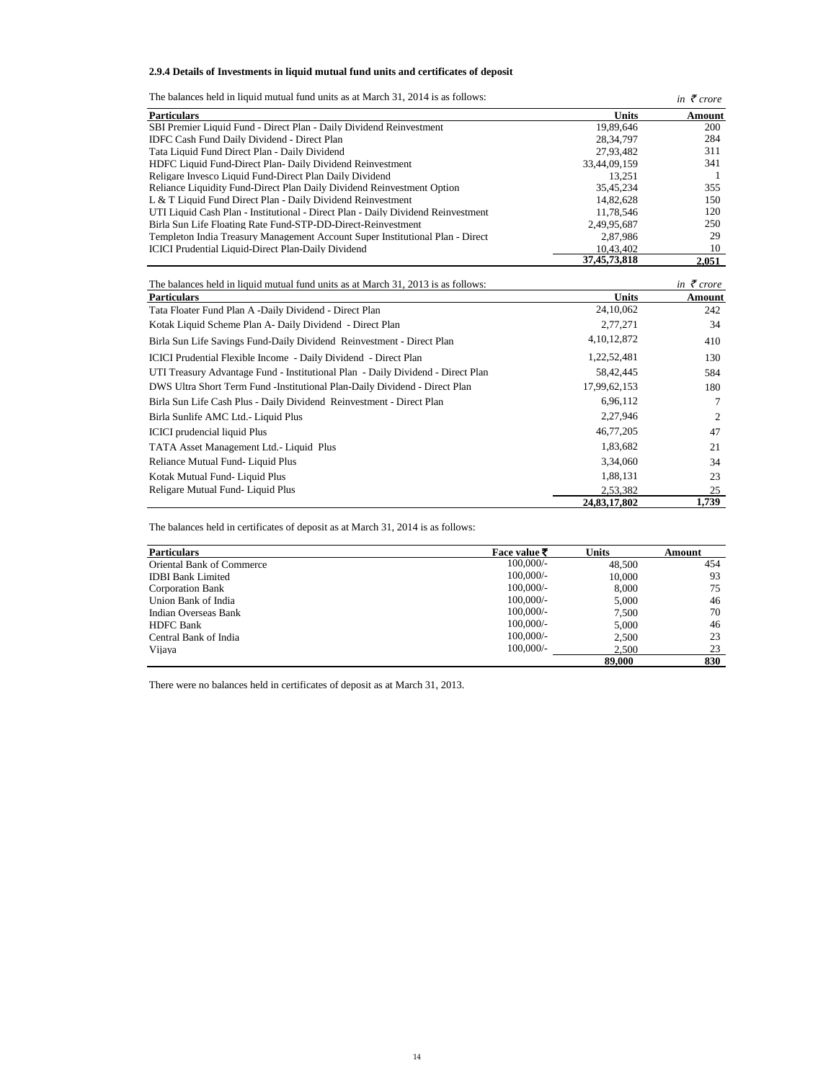**2.9.4 Details of Investments in liquid mutual fund units and certificates of deposit**

| The balances held in liquid mutual fund units as at March 31, 2014 is as follows: |                 | in $\bar{\tau}$ crore        |
|-----------------------------------------------------------------------------------|-----------------|------------------------------|
| <b>Particulars</b>                                                                | <b>Units</b>    | Amount                       |
| SBI Premier Liquid Fund - Direct Plan - Daily Dividend Reinvestment               | 19.89.646       | 200                          |
| <b>IDFC Cash Fund Daily Dividend - Direct Plan</b>                                | 28.34.797       | 284                          |
| Tata Liquid Fund Direct Plan - Daily Dividend                                     | 27.93.482       | 311                          |
| HDFC Liquid Fund-Direct Plan-Daily Dividend Reinvestment                          | 33.44.09.159    | 341                          |
| Religare Invesco Liquid Fund-Direct Plan Daily Dividend                           | 13.251          |                              |
| Reliance Liquidity Fund-Direct Plan Daily Dividend Reinvestment Option            | 35.45.234       | 355                          |
| L & T Liquid Fund Direct Plan - Daily Dividend Reinvestment                       | 14.82.628       | 150                          |
| UTI Liquid Cash Plan - Institutional - Direct Plan - Daily Dividend Reinvestment  | 11.78.546       | 120                          |
| Birla Sun Life Floating Rate Fund-STP-DD-Direct-Reinvestment                      | 2,49,95,687     | 250                          |
| Templeton India Treasury Management Account Super Institutional Plan - Direct     | 2.87.986        | 29                           |
| <b>ICICI</b> Prudential Liquid-Direct Plan-Daily Dividend                         | 10.43.402       | 10                           |
|                                                                                   | 37, 45, 73, 818 | 2.051                        |
| The balances held in liquid mutual fund units as at March 31, 2013 is as follows: |                 | in $\bar{\mathcal{F}}$ crore |

| The balances held in liquid mutual fund units as at March 31, 2013 is as follows: |                | in $\bar{\tau}$ crore |
|-----------------------------------------------------------------------------------|----------------|-----------------------|
| <b>Particulars</b>                                                                | <b>Units</b>   | Amount                |
| Tata Floater Fund Plan A -Daily Dividend - Direct Plan                            | 24,10,062      | 242                   |
| Kotak Liquid Scheme Plan A- Daily Dividend - Direct Plan                          | 2,77,271       | 34                    |
| Birla Sun Life Savings Fund-Daily Dividend Reinvestment - Direct Plan             | 4, 10, 12, 872 | 410                   |
| ICICI Prudential Flexible Income - Daily Dividend - Direct Plan                   | 1,22,52,481    | 130                   |
| UTI Treasury Advantage Fund - Institutional Plan - Daily Dividend - Direct Plan   | 58,42,445      | 584                   |
| DWS Ultra Short Term Fund - Institutional Plan-Daily Dividend - Direct Plan       | 17,99,62,153   | 180                   |
| Birla Sun Life Cash Plus - Daily Dividend Reinvestment - Direct Plan              | 6,96,112       | 7                     |
| Birla Sunlife AMC Ltd. - Liquid Plus                                              | 2,27,946       | $\overline{c}$        |
| <b>ICICI</b> prudencial liquid Plus                                               | 46,77,205      | 47                    |
| TATA Asset Management Ltd.- Liquid Plus                                           | 1,83,682       | 21                    |
| Reliance Mutual Fund-Liquid Plus                                                  | 3,34,060       | 34                    |
| Kotak Mutual Fund-Liquid Plus                                                     | 1,88,131       | 23                    |
| Religare Mutual Fund-Liquid Plus                                                  | 2,53,382       | 25                    |
|                                                                                   | 24,83,17,802   | 1,739                 |

The balances held in certificates of deposit as at March 31, 2014 is as follows:

| <b>Particulars</b>               | Face value $\bar{\tau}$ | <b>Units</b> | Amount |
|----------------------------------|-------------------------|--------------|--------|
| <b>Oriental Bank of Commerce</b> | $100,000/$ -            | 48,500       | 454    |
| <b>IDBI Bank Limited</b>         | $100,000/$ -            | 10,000       | 93     |
| <b>Corporation Bank</b>          | $100,000/$ -            | 8.000        | 75     |
| Union Bank of India              | $100,000/-$             | 5.000        | 46     |
| Indian Overseas Bank             | $100,000/-$             | 7.500        | 70     |
| <b>HDFC</b> Bank                 | $100,000/$ -            | 5.000        | 46     |
| Central Bank of India            | $100,000/$ -            | 2.500        | 23     |
| Vijaya                           | $100,000/$ -            | 2.500        | 23     |
|                                  |                         | 89,000       | 830    |

There were no balances held in certificates of deposit as at March 31, 2013.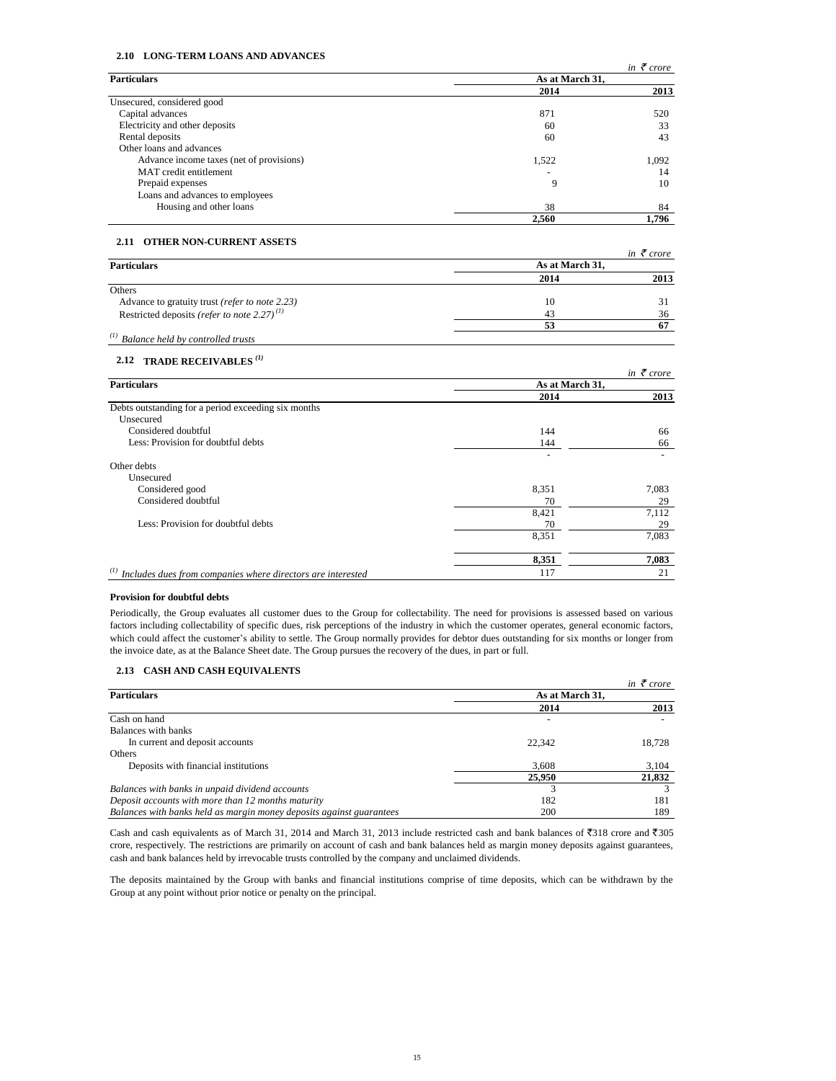# **2.10 LONG-TERM LOANS AND ADVANCES**

|                                          |                 | in $\bar{\tau}$ crore |  |
|------------------------------------------|-----------------|-----------------------|--|
| <b>Particulars</b>                       | As at March 31, |                       |  |
|                                          | 2014            | 2013                  |  |
| Unsecured, considered good               |                 |                       |  |
| Capital advances                         | 871             | 520                   |  |
| Electricity and other deposits           | 60              | 33                    |  |
| Rental deposits                          | 60              | 43                    |  |
| Other loans and advances                 |                 |                       |  |
| Advance income taxes (net of provisions) | 1,522           | 1,092                 |  |
| MAT credit entitlement                   |                 | 14                    |  |
| Prepaid expenses                         | 9               | 10                    |  |
| Loans and advances to employees          |                 |                       |  |
| Housing and other loans                  | 38              | 84                    |  |
|                                          | 2.560           | 1.796                 |  |

# **2.11 OTHER NON-CURRENT ASSETS**

|                                                           |                 | in $\bar{\tau}$ crore |  |
|-----------------------------------------------------------|-----------------|-----------------------|--|
| <b>Particulars</b>                                        | As at March 31. |                       |  |
|                                                           | 2014            | 2013                  |  |
| Others                                                    |                 |                       |  |
| Advance to gratuity trust (refer to note 2.23)            | 10              | 31                    |  |
| Restricted deposits (refer to note 2.27) <sup>(1)</sup>   | 43              | 36                    |  |
|                                                           | 53              | 67                    |  |
| $\alpha$ <sup>(1)</sup> Balance held by controlled trusts |                 |                       |  |

# **2.12 TRADE RECEIVABLES** *(1)*

|                                                                                     |                 | in $\bar{\tau}$ crore |  |
|-------------------------------------------------------------------------------------|-----------------|-----------------------|--|
| <b>Particulars</b>                                                                  | As at March 31, |                       |  |
|                                                                                     | 2014            | 2013                  |  |
| Debts outstanding for a period exceeding six months                                 |                 |                       |  |
| Unsecured                                                                           |                 |                       |  |
| Considered doubtful                                                                 | 144             | 66                    |  |
| Less: Provision for doubtful debts                                                  | 144             | 66                    |  |
| Other debts                                                                         |                 |                       |  |
| Unsecured                                                                           |                 |                       |  |
| Considered good                                                                     | 8,351           | 7,083                 |  |
| Considered doubtful                                                                 | 70              | 29                    |  |
|                                                                                     | 8,421           | 7,112                 |  |
| Less: Provision for doubtful debts                                                  | 70              | 29                    |  |
|                                                                                     | 8,351           | 7,083                 |  |
|                                                                                     | 8.351           | 7,083                 |  |
| $\alpha$ <sup>(1)</sup> Includes dues from companies where directors are interested | 117             | 21                    |  |

### **Provision for doubtful debts**

Periodically, the Group evaluates all customer dues to the Group for collectability. The need for provisions is assessed based on various factors including collectability of specific dues, risk perceptions of the industry in which the customer operates, general economic factors, which could affect the customer's ability to settle. The Group normally provides for debtor dues outstanding for six months or longer from the invoice date, as at the Balance Sheet date. The Group pursues the recovery of the dues, in part or full.

# **2.13 CASH AND CASH EQUIVALENTS**

|                                                                      |                 | in $\bar{\tau}$ crore |
|----------------------------------------------------------------------|-----------------|-----------------------|
| <b>Particulars</b>                                                   | As at March 31, |                       |
|                                                                      | 2014            | 2013                  |
| Cash on hand                                                         |                 |                       |
| Balances with banks                                                  |                 |                       |
| In current and deposit accounts                                      | 22,342          | 18.728                |
| Others                                                               |                 |                       |
| Deposits with financial institutions                                 | 3.608           | 3,104                 |
|                                                                      | 25,950          | 21,832                |
| Balances with banks in unpaid dividend accounts                      |                 |                       |
| Deposit accounts with more than 12 months maturity                   | 182             | 181                   |
| Balances with banks held as margin money deposits against guarantees | 200             | 189                   |

Cash and cash equivalents as of March 31, 2014 and March 31, 2013 include restricted cash and bank balances of  $\overline{3}38$  crore and  $\overline{3}305$ crore, respectively. The restrictions are primarily on account of cash and bank balances held as margin money deposits against guarantees, cash and bank balances held by irrevocable trusts controlled by the company and unclaimed dividends.

The deposits maintained by the Group with banks and financial institutions comprise of time deposits, which can be withdrawn by the Group at any point without prior notice or penalty on the principal.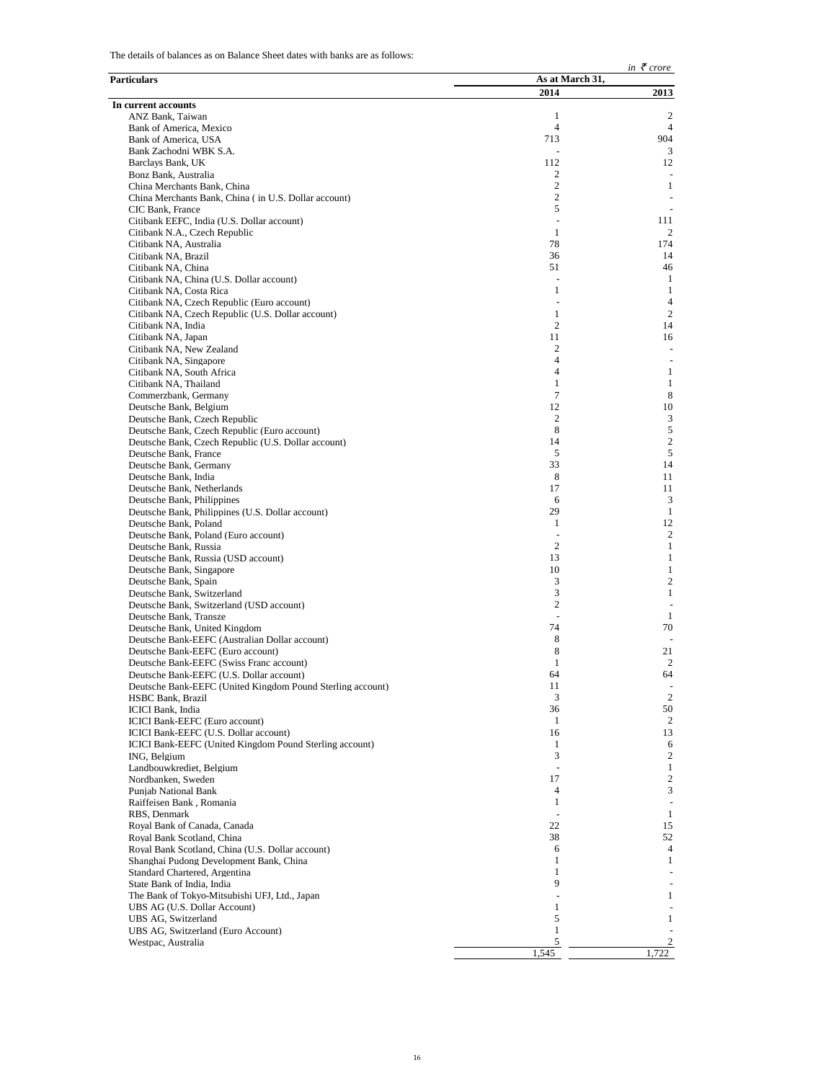The details of balances as on Balance Sheet dates with banks are as follows:

|                                                                                                     |                         | in $\bar{\tau}$ crore          |
|-----------------------------------------------------------------------------------------------------|-------------------------|--------------------------------|
| Particulars                                                                                         | As at March 31,<br>2014 | 2013                           |
| In current accounts                                                                                 |                         |                                |
| ANZ Bank, Taiwan                                                                                    | 1                       | 2                              |
| Bank of America, Mexico                                                                             | $\overline{4}$<br>713   | $\overline{4}$<br>904          |
| Bank of America, USA<br>Bank Zachodni WBK S.A.                                                      |                         | 3                              |
| Barclays Bank, UK                                                                                   | 112                     | 12                             |
| Bonz Bank, Australia                                                                                | 2                       |                                |
| China Merchants Bank, China                                                                         | $\mathfrak{2}$          | $\mathbf{1}$                   |
| China Merchants Bank, China (in U.S. Dollar account)                                                | 2<br>5                  |                                |
| CIC Bank, France<br>Citibank EEFC, India (U.S. Dollar account)                                      |                         | 111                            |
| Citibank N.A., Czech Republic                                                                       | 1                       | 2                              |
| Citibank NA, Australia                                                                              | 78                      | 174                            |
| Citibank NA, Brazil                                                                                 | 36                      | 14                             |
| Citibank NA, China                                                                                  | 51                      | 46                             |
| Citibank NA, China (U.S. Dollar account)<br>Citibank NA, Costa Rica                                 | 1                       | 1<br>1                         |
| Citibank NA, Czech Republic (Euro account)                                                          |                         | $\overline{4}$                 |
| Citibank NA, Czech Republic (U.S. Dollar account)                                                   | 1                       | $\overline{c}$                 |
| Citibank NA, India                                                                                  | 2                       | 14                             |
| Citibank NA, Japan                                                                                  | 11                      | 16                             |
| Citibank NA, New Zealand<br>Citibank NA, Singapore                                                  | 2<br>4                  |                                |
| Citibank NA, South Africa                                                                           | $\overline{4}$          | $\mathbf{1}$                   |
| Citibank NA, Thailand                                                                               | 1                       | $\mathbf{1}$                   |
| Commerzbank, Germany                                                                                | 7                       | 8                              |
| Deutsche Bank, Belgium                                                                              | 12                      | 10                             |
| Deutsche Bank, Czech Republic                                                                       | 2<br>8                  | 3<br>5                         |
| Deutsche Bank, Czech Republic (Euro account)<br>Deutsche Bank, Czech Republic (U.S. Dollar account) | 14                      | $\overline{c}$                 |
| Deutsche Bank, France                                                                               | 5                       | 5                              |
| Deutsche Bank, Germany                                                                              | 33                      | 14                             |
| Deutsche Bank, India                                                                                | 8                       | 11                             |
| Deutsche Bank, Netherlands                                                                          | 17                      | 11                             |
| Deutsche Bank, Philippines<br>Deutsche Bank, Philippines (U.S. Dollar account)                      | 6<br>29                 | 3<br>1                         |
| Deutsche Bank, Poland                                                                               | $\mathbf{1}$            | 12                             |
| Deutsche Bank, Poland (Euro account)                                                                |                         | $\overline{c}$                 |
| Deutsche Bank, Russia                                                                               | 2                       | 1                              |
| Deutsche Bank, Russia (USD account)                                                                 | 13                      | $\mathbf{1}$                   |
| Deutsche Bank, Singapore                                                                            | 10<br>3                 | $\mathbf{1}$<br>$\overline{c}$ |
| Deutsche Bank, Spain<br>Deutsche Bank, Switzerland                                                  | 3                       | $\mathbf{1}$                   |
| Deutsche Bank, Switzerland (USD account)                                                            | 2                       |                                |
| Deutsche Bank, Transze                                                                              |                         | 1                              |
| Deutsche Bank, United Kingdom                                                                       | 74                      | 70                             |
| Deutsche Bank-EEFC (Australian Dollar account)                                                      | 8<br>8                  | 21                             |
| Deutsche Bank-EEFC (Euro account)<br>Deutsche Bank-EEFC (Swiss Franc account)                       | $\mathbf{1}$            | 2                              |
| Deutsche Bank-EEFC (U.S. Dollar account)                                                            | 64                      | 64                             |
| Deutsche Bank-EEFC (United Kingdom Pound Sterling account)                                          | 11                      |                                |
| HSBC Bank, Brazil                                                                                   | 3                       | 2                              |
| ICICI Bank, India                                                                                   | 36                      | 50<br>$\overline{2}$           |
| ICICI Bank-EEFC (Euro account)<br>ICICI Bank-EEFC (U.S. Dollar account)                             | 1<br>16                 | 13                             |
| ICICI Bank-EEFC (United Kingdom Pound Sterling account)                                             | $\mathbf{1}$            | 6                              |
| ING, Belgium                                                                                        | 3                       | 2                              |
| Landbouwkrediet, Belgium                                                                            |                         | 1                              |
| Nordbanken, Sweden                                                                                  | 17<br>4                 | $\sqrt{2}$<br>3                |
| Punjab National Bank<br>Raiffeisen Bank, Romania                                                    | 1                       |                                |
| RBS, Denmark                                                                                        |                         | 1                              |
| Royal Bank of Canada, Canada                                                                        | 22                      | 15                             |
| Royal Bank Scotland, China                                                                          | 38                      | 52                             |
| Royal Bank Scotland, China (U.S. Dollar account)                                                    | 6                       | $\overline{4}$                 |
| Shanghai Pudong Development Bank, China<br>Standard Chartered, Argentina                            | 1<br>1                  | 1                              |
| State Bank of India, India                                                                          | 9                       |                                |
| The Bank of Tokyo-Mitsubishi UFJ, Ltd., Japan                                                       |                         | $\mathbf{1}$                   |
| UBS AG (U.S. Dollar Account)                                                                        | 1                       |                                |
| UBS AG, Switzerland                                                                                 | 5                       | $\mathbf{1}$                   |
| UBS AG, Switzerland (Euro Account)<br>Westpac, Australia                                            | $\mathbf{1}$<br>5       |                                |
|                                                                                                     | 1,545                   | 1,722                          |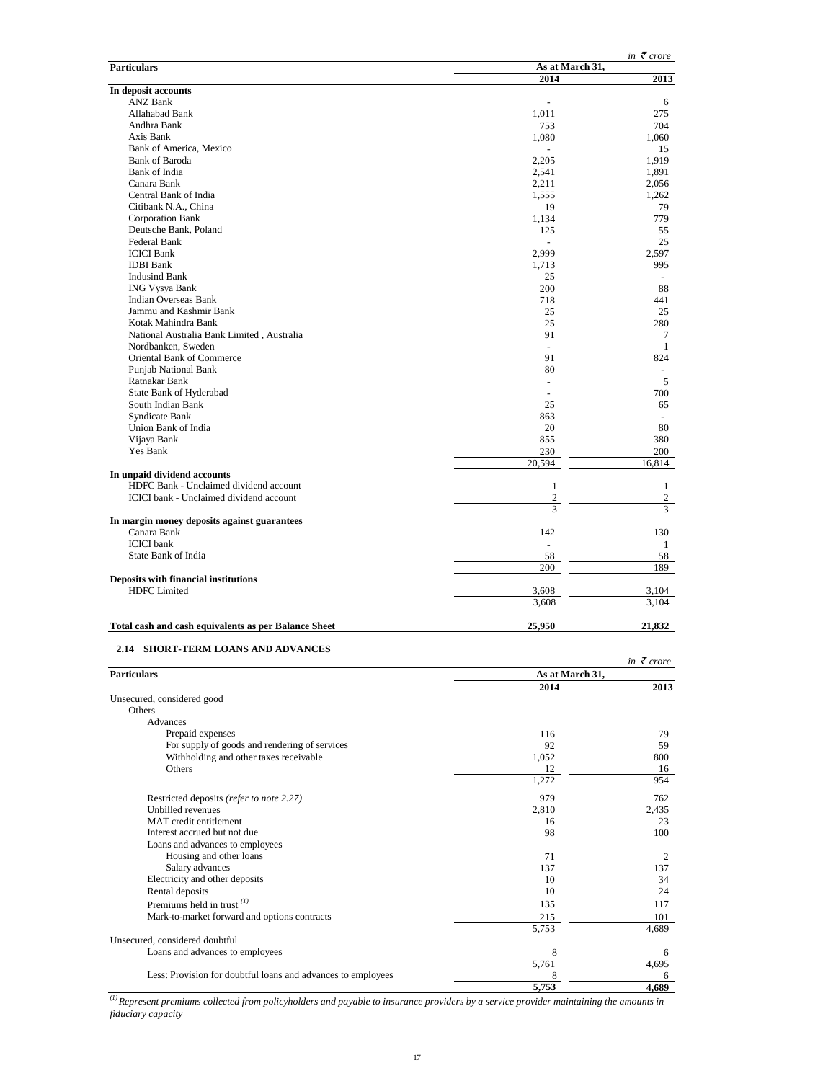|                                                                       |                                  | in $\bar{\tau}$ crore          |
|-----------------------------------------------------------------------|----------------------------------|--------------------------------|
| <b>Particulars</b>                                                    | As at March 31,<br>2014          | 2013                           |
| In deposit accounts                                                   |                                  |                                |
| <b>ANZ Bank</b>                                                       |                                  | 6                              |
| Allahabad Bank                                                        | 1,011                            | 275                            |
| Andhra Bank                                                           | 753                              | 704                            |
| Axis Bank<br>Bank of America, Mexico                                  | 1,080                            | 1,060<br>15                    |
| <b>Bank of Baroda</b>                                                 | 2,205                            | 1,919                          |
| Bank of India                                                         | 2,541                            | 1,891                          |
| Canara Bank                                                           | 2,211                            | 2,056                          |
| Central Bank of India                                                 | 1,555                            | 1,262                          |
| Citibank N.A., China<br><b>Corporation Bank</b>                       | 19<br>1,134                      | 79<br>779                      |
| Deutsche Bank, Poland                                                 | 125                              | 55                             |
| Federal Bank                                                          |                                  | 25                             |
| <b>ICICI</b> Bank                                                     | 2,999                            | 2,597                          |
| <b>IDBI</b> Bank                                                      | 1,713                            | 995                            |
| <b>Indusind Bank</b>                                                  | 25                               |                                |
| <b>ING Vysya Bank</b>                                                 | 200                              | 88                             |
| Indian Overseas Bank<br>Jammu and Kashmir Bank                        | 718<br>25                        | 441<br>25                      |
| Kotak Mahindra Bank                                                   | 25                               | 280                            |
| National Australia Bank Limited, Australia                            | 91                               | 7                              |
| Nordbanken, Sweden                                                    | $\overline{\phantom{a}}$         | $\mathbf{1}$                   |
| <b>Oriental Bank of Commerce</b>                                      | 91                               | 824                            |
| <b>Punjab National Bank</b>                                           | 80                               |                                |
| Ratnakar Bank                                                         | $\sim$                           | 5                              |
| State Bank of Hyderabad<br>South Indian Bank                          | 25                               | 700<br>65                      |
| Syndicate Bank                                                        | 863                              | $\overline{\phantom{a}}$       |
| Union Bank of India                                                   | 20                               | 80                             |
| Vijaya Bank                                                           | 855                              | 380                            |
| Yes Bank                                                              | 230                              | 200                            |
|                                                                       | 20,594                           | 16,814                         |
| In unpaid dividend accounts<br>HDFC Bank - Unclaimed dividend account |                                  |                                |
| ICICI bank - Unclaimed dividend account                               | $\mathbf{1}$<br>$\boldsymbol{2}$ | $\mathbf{1}$<br>$\mathfrak{2}$ |
|                                                                       | 3                                | 3                              |
| In margin money deposits against guarantees                           |                                  |                                |
| Canara Bank                                                           | 142                              | 130                            |
| <b>ICICI</b> bank                                                     |                                  | $\mathbf{1}$                   |
| State Bank of India                                                   | 58<br>200                        | 58<br>189                      |
| Deposits with financial institutions                                  |                                  |                                |
| <b>HDFC</b> Limited                                                   | 3,608                            | 3,104                          |
|                                                                       | 3.608                            | 3,104                          |
| Total cash and cash equivalents as per Balance Sheet                  | 25,950                           | 21,832                         |
|                                                                       |                                  |                                |
| 2.14 SHORT-TERM LOANS AND ADVANCES                                    |                                  |                                |
| <b>Particulars</b>                                                    | As at March 31,                  | in $\bar{\tau}$ crore          |
|                                                                       | 2014                             | 2013                           |
| Unsecured, considered good                                            |                                  |                                |
| Others                                                                |                                  |                                |
| Advances<br>Prepaid expenses                                          | 116                              | 79                             |
| For supply of goods and rendering of services                         | 92                               | 59                             |
| Withholding and other taxes receivable                                | 1,052                            | 800                            |
| Others                                                                | 12                               | 16                             |
|                                                                       | 1,272                            | 954                            |
| Restricted deposits (refer to note 2.27)                              | 979                              | 762                            |
| Unbilled revenues                                                     | 2.810                            | 2.435                          |
| MAT credit entitlement                                                | 16                               | 23                             |
| Interest accrued but not due                                          | 98                               | 100                            |
| Loans and advances to employees                                       |                                  |                                |
| Housing and other loans<br>Salary advances                            | 71<br>137                        | 2<br>137                       |
| Electricity and other deposits                                        | 10                               | 34                             |
| Rental deposits                                                       | 10                               | 24                             |
| Premiums held in trust <sup>(1)</sup>                                 | 135                              | 117                            |
| Mark-to-market forward and options contracts                          | 215                              | 101                            |
|                                                                       | 5,753                            | 4,689                          |
| Unsecured, considered doubtful                                        |                                  |                                |
| Loans and advances to employees                                       | 8                                | 6                              |
| Less: Provision for doubtful loans and advances to employees          | 5,761                            | 4,695<br>6                     |
|                                                                       | 5,753                            | 4,689                          |

*(1)Represent premiums collected from policyholders and payable to insurance providers by a service provider maintaining the amounts in fiduciary capacity*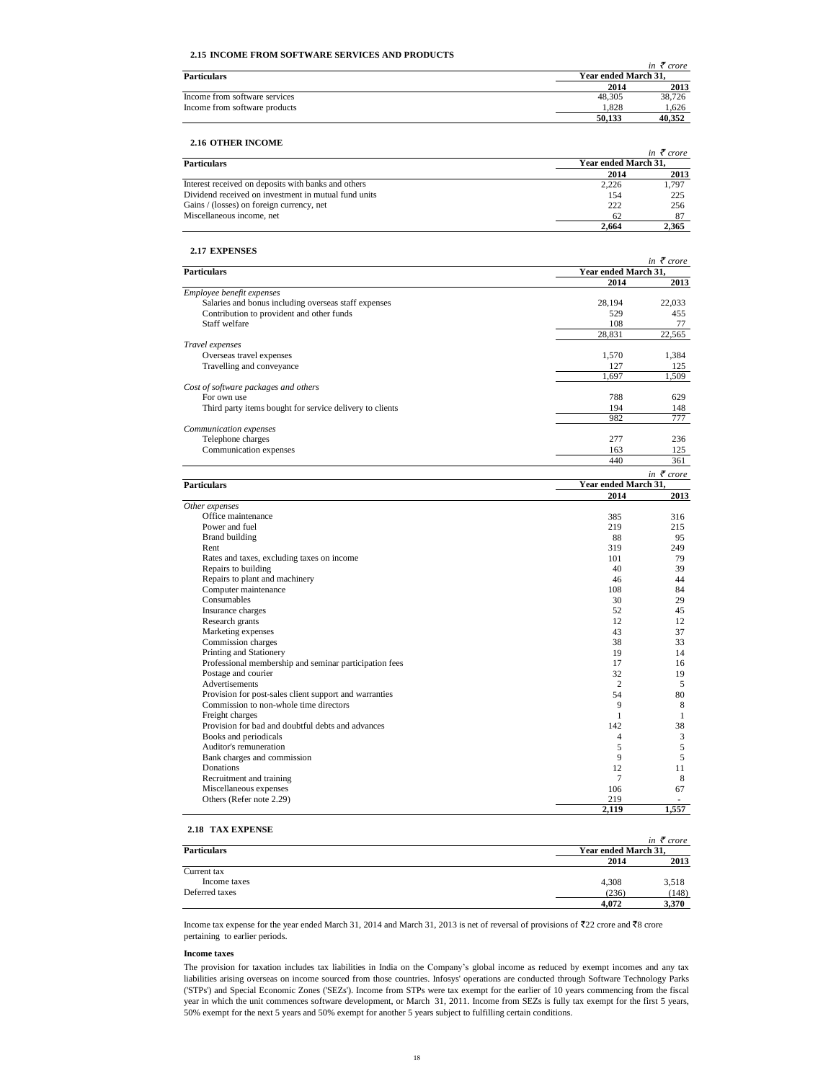# **2.15 INCOME FROM SOFTWARE SERVICES AND PRODUCTS**

|                               |                      | in $\zeta$ crore |
|-------------------------------|----------------------|------------------|
| <b>Particulars</b>            | Year ended March 31. |                  |
|                               | 2014                 | 2013             |
| Income from software services | 48.305               | 38.726           |
| Income from software products | 1.828                | 1.626            |
|                               | 50.133               | 40.352           |

# **2.16 OTHER INCOME**

| 2.16 OTHER INCOME                                    |                      |                       |
|------------------------------------------------------|----------------------|-----------------------|
|                                                      |                      | in $\bar{\tau}$ crore |
| <b>Particulars</b>                                   | Year ended March 31. |                       |
|                                                      | 2014                 | 2013                  |
| Interest received on deposits with banks and others  | 2.226                | 1.797                 |
| Dividend received on investment in mutual fund units | 154                  | 225                   |
| Gains / (losses) on foreign currency, net            | 222                  | 256                   |
| Miscellaneous income, net                            | 62                   |                       |
|                                                      | 2.664                | 2.365                 |

# **2.17 EXPENSES**

|                                                          | in $\bar{\tau}$ crore |                       |  |
|----------------------------------------------------------|-----------------------|-----------------------|--|
| <b>Particulars</b>                                       | Year ended March 31,  |                       |  |
|                                                          | 2014                  | 2013                  |  |
| Employee benefit expenses                                |                       |                       |  |
| Salaries and bonus including overseas staff expenses     | 28,194                | 22,033                |  |
| Contribution to provident and other funds                | 529                   | 455                   |  |
| Staff welfare                                            | 108                   | 77                    |  |
|                                                          | 28,831                | 22,565                |  |
| Travel expenses                                          |                       |                       |  |
| Overseas travel expenses                                 | 1,570                 | 1,384                 |  |
| Travelling and conveyance                                | 127<br>1.697          | 125                   |  |
|                                                          |                       | 1.509                 |  |
| Cost of software packages and others                     |                       |                       |  |
| For own use                                              | 788                   | 629                   |  |
| Third party items bought for service delivery to clients | 194                   | 148                   |  |
|                                                          | 982                   | 777                   |  |
| Communication expenses                                   | 277                   |                       |  |
| Telephone charges                                        |                       | 236                   |  |
| Communication expenses                                   | 163<br>440            | 125                   |  |
|                                                          |                       | 361                   |  |
|                                                          |                       | in $\bar{\tau}$ crore |  |
| <b>Particulars</b>                                       | Year ended March 31,  |                       |  |
|                                                          | 2014                  | 2013                  |  |
| Other expenses                                           |                       |                       |  |
| Office maintenance                                       | 385                   | 316                   |  |
| Power and fuel                                           | 219                   | 215                   |  |
| <b>Brand building</b>                                    | 88                    | 95                    |  |
| Rent                                                     | 319                   | 249                   |  |
| Rates and taxes, excluding taxes on income               | 101                   | 79                    |  |
| Repairs to building                                      | 40                    | 39                    |  |
| Repairs to plant and machinery                           | 46                    | 44                    |  |
| Computer maintenance                                     | 108                   | 84                    |  |
| Consumables                                              | 30                    | 29                    |  |
| Insurance charges                                        | 52                    | 45                    |  |
| Research grants                                          | 12                    | 12                    |  |
| Marketing expenses                                       | 43                    | 37                    |  |
| Commission charges                                       | 38                    | 33                    |  |
| Printing and Stationery                                  | 19                    | 14                    |  |
| Professional membership and seminar participation fees   | 17                    | 16                    |  |
| Postage and courier                                      | 32                    | 19                    |  |
| Advertisements                                           | 2                     | 5                     |  |
| Provision for post-sales client support and warranties   | 54                    | 80                    |  |
| Commission to non-whole time directors                   | 9                     | 8                     |  |
| Freight charges                                          | $\mathbf{1}$          | 1                     |  |
| Provision for bad and doubtful debts and advances        | 142                   | 38                    |  |
| Books and periodicals                                    | 4                     | 3                     |  |
| Auditor's remuneration                                   | 5                     | 5                     |  |
| Bank charges and commission                              | 9                     | 5                     |  |
| Donations                                                | 12                    | 11                    |  |
| Recruitment and training                                 | 7                     | 8                     |  |
| Miscellaneous expenses                                   | 106                   | 67                    |  |
| Others (Refer note 2.29)                                 | 219                   |                       |  |
|                                                          | 2,119                 | 1,557                 |  |

| ---------------------- |       | in $\bar{\tau}$ crore |  |
|------------------------|-------|-----------------------|--|
| <b>Particulars</b>     |       | Year ended March 31,  |  |
|                        | 2014  | 2013                  |  |
| Current tax            |       |                       |  |
| Income taxes           | 4,308 | 3,518                 |  |
| Deferred taxes         | (236) | (148)                 |  |
|                        | 4.072 | 3,370                 |  |

Income tax expense for the year ended March 31, 2014 and March 31, 2013 is net of reversal of provisions of  $\overline{2}2$  crore and  $\overline{3}8$  crore pertaining to earlier periods.

# **Income taxes**

The provision for taxation includes tax liabilities in India on the Company's global income as reduced by exempt incomes and any tax liabilities arising overseas on income sourced from those countries. Infosys' operations are conducted through Software Technology Parks ('STPs') and Special Economic Zones ('SEZs'). Income from STPs were tax exempt for the earlier of 10 years commencing from the fiscal year in which the unit commences software development, or March 31, 2011. Income from SEZs is fully tax exempt for the first 5 years, 50% exempt for the next 5 years and 50% exempt for another 5 years subject to fulfilling certain conditions.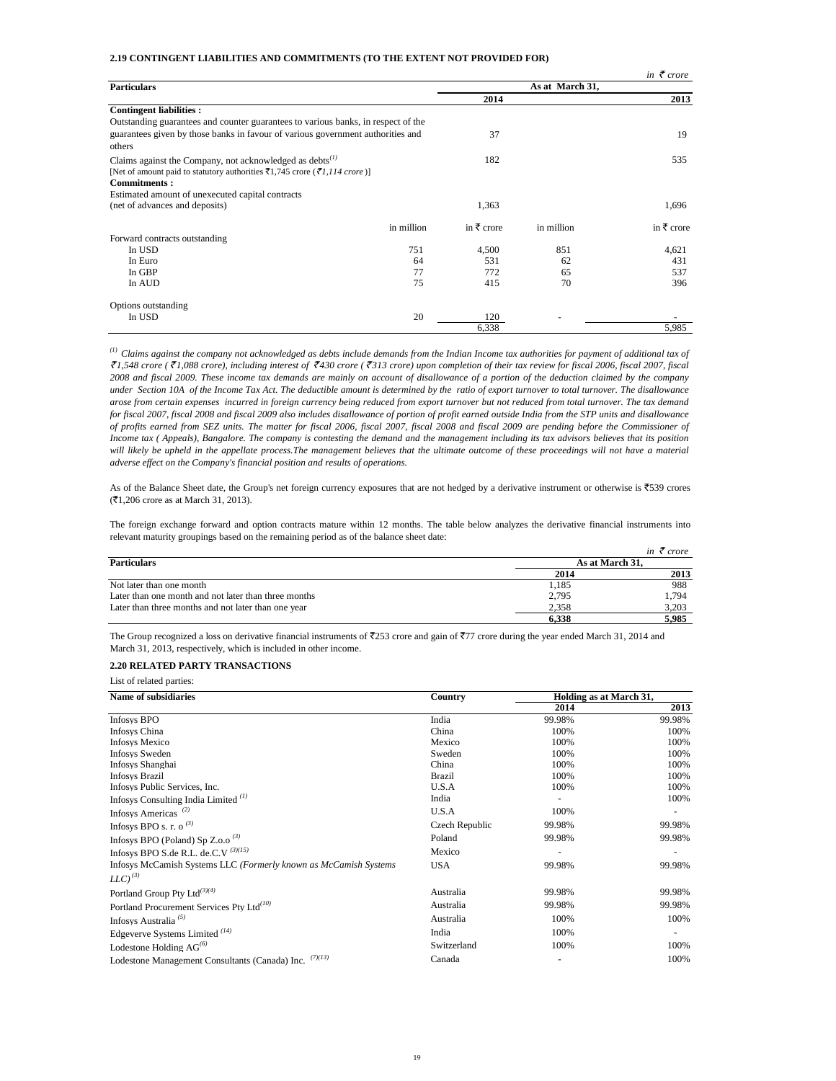# **2.19 CONTINGENT LIABILITIES AND COMMITMENTS (TO THE EXTENT NOT PROVIDED FOR)**

|                                                                                   |            |                       |                 | in $\bar{\tau}$ crore |
|-----------------------------------------------------------------------------------|------------|-----------------------|-----------------|-----------------------|
| <b>Particulars</b>                                                                |            |                       | As at March 31, |                       |
|                                                                                   |            | 2014                  |                 | 2013                  |
| <b>Contingent liabilities:</b>                                                    |            |                       |                 |                       |
| Outstanding guarantees and counter guarantees to various banks, in respect of the |            |                       |                 |                       |
| guarantees given by those banks in favour of various government authorities and   |            | 37                    |                 | 19                    |
| others                                                                            |            |                       |                 |                       |
| Claims against the Company, not acknowledged as debts $^{(1)}$                    |            | 182                   |                 | 535                   |
| [Net of amount paid to statutory authorities ₹1,745 crore (₹1,114 crore)]         |            |                       |                 |                       |
| <b>Commitments:</b>                                                               |            |                       |                 |                       |
| Estimated amount of unexecuted capital contracts                                  |            |                       |                 |                       |
| (net of advances and deposits)                                                    |            | 1,363                 |                 | 1,696                 |
|                                                                                   | in million | in $\bar{\tau}$ crore | in million      | in $\bar{\tau}$ crore |
| Forward contracts outstanding                                                     |            |                       |                 |                       |
| In USD                                                                            | 751        | 4,500                 | 851             | 4,621                 |
| In Euro                                                                           | 64         | 531                   | 62              | 431                   |
| In GBP                                                                            | 77         | 772                   | 65              | 537                   |
| In AUD                                                                            | 75         | 415                   | 70              | 396                   |
| Options outstanding                                                               |            |                       |                 |                       |
| In USD                                                                            | 20         | 120                   |                 |                       |
|                                                                                   |            | 6,338                 |                 | 5,985                 |

 $^{(1)}$  Claims against the company not acknowledged as debts include demands from the Indian Income tax authorities for payment of additional tax of ₹1,548 crore (₹1,088 crore), including interest of ₹430 crore (₹313 crore) upon completion of their tax review for fiscal 2006, fiscal 2007, fiscal 2008 and fiscal 2009. These income tax demands are mainly on account of disallowance of a portion of the deduction claimed by the company under Section 10A of the Income Tax Act. The deductible amount is determined by the ratio of export turnover to total turnover. The disallowance arose from certain expenses incurred in foreign currency being reduced from export turnover but not reduced from total turnover. The tax demand for fiscal 2007, fiscal 2008 and fiscal 2009 also includes disallowance of portion of profit earned outside India from the STP units and disallowance of profits earned from SEZ units. The matter for fiscal 2006, fiscal 2007, fiscal 2008 and fiscal 2009 are pending before the Commissioner of Income tax (Appeals), Bangalore. The company is contesting the demand and the management including its tax advisors believes that its position will likely be upheld in the appellate process. The management believes that the ultimate outcome of these proceedings will not have a material *adverse effect on the Company's financial position and results of operations.*

As of the Balance Sheet date, the Group's net foreign currency exposures that are not hedged by a derivative instrument or otherwise is  $\overline{5}539$  crores (`1,206 crore as at March 31, 2013).

The foreign exchange forward and option contracts mature within 12 months. The table below analyzes the derivative financial instruments into relevant maturity groupings based on the remaining period as of the balance sheet date:

|                                                      |                 | in $\bar{\tau}$ crore |
|------------------------------------------------------|-----------------|-----------------------|
| <b>Particulars</b>                                   | As at March 31. |                       |
|                                                      | 2014            | 2013                  |
| Not later than one month                             | 1,185           | 988                   |
| Later than one month and not later than three months | 2,795           | 1.794                 |
| Later than three months and not later than one year  | 2.358           | 3,203                 |
|                                                      | 6.338           | 5.985                 |

The Group recognized a loss on derivative financial instruments of  $\overline{5253}$  crore and gain of  $\overline{577}$  crore during the year ended March 31, 2014 and March 31, 2013, respectively, which is included in other income.

# **2.20 RELATED PARTY TRANSACTIONS**

List of related parties:

| <b>Name of subsidiaries</b>                                      | Country        | Holding as at March 31, |        |
|------------------------------------------------------------------|----------------|-------------------------|--------|
|                                                                  |                | 2014                    | 2013   |
| <b>Infosys BPO</b>                                               | India          | 99.98%                  | 99.98% |
| Infosys China                                                    | China          | 100%                    | 100%   |
| <b>Infosys Mexico</b>                                            | Mexico         | 100%                    | 100%   |
| <b>Infosys Sweden</b>                                            | Sweden         | 100%                    | 100%   |
| Infosys Shanghai                                                 | China          | 100%                    | 100%   |
| <b>Infosys Brazil</b>                                            | Brazil         | 100%                    | 100%   |
| Infosys Public Services, Inc.                                    | U.S.A          | 100%                    | 100%   |
| Infosys Consulting India Limited $(1)$                           | India          |                         | 100%   |
| Infosys Americas <sup><math>(2)</math></sup>                     | U.S.A          | 100%                    |        |
| Infosys BPO s. r. o <sup>(3)</sup>                               | Czech Republic | 99.98%                  | 99.98% |
| Infosys BPO (Poland) Sp Z.o.o <sup>(3)</sup>                     | Poland         | 99.98%                  | 99.98% |
| Infosys BPO S.de R.L. de.C.V $^{(3)(15)}$                        | Mexico         |                         |        |
| Infosys McCamish Systems LLC (Formerly known as McCamish Systems | <b>USA</b>     | 99.98%                  | 99.98% |
| $LLC)^{(3)}$                                                     |                |                         |        |
| Portland Group Pty Ltd <sup>(3)(4)</sup>                         | Australia      | 99.98%                  | 99.98% |
| Portland Procurement Services Pty Ltd <sup>(10)</sup>            | Australia      | 99.98%                  | 99.98% |
| Infosys Australia <sup>(5)</sup>                                 | Australia      | 100%                    | 100%   |
| Edgeverve Systems Limited $(14)$                                 | India          | 100%                    |        |
| Lodestone Holding $AG^{(6)}$                                     | Switzerland    | 100%                    | 100%   |
| (7)(13)<br>Lodestone Management Consultants (Canada) Inc.        | Canada         |                         | 100%   |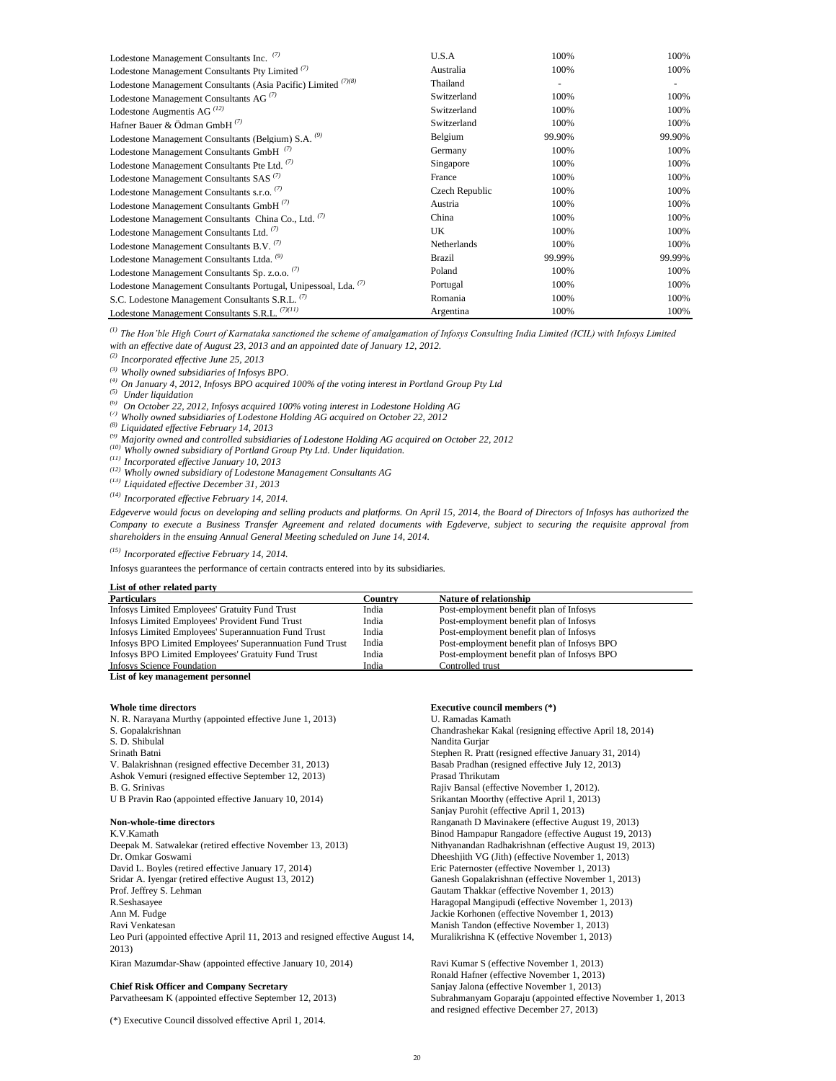| Lodestone Management Consultants Inc. (7)                       | U.S.A              | 100%   | 100%   |
|-----------------------------------------------------------------|--------------------|--------|--------|
| Lodestone Management Consultants Pty Limited <sup>(7)</sup>     | Australia          | 100%   | 100%   |
| Lodestone Management Consultants (Asia Pacific) Limited (7)(8)  | Thailand           |        |        |
| Lodestone Management Consultants AG <sup>(7)</sup>              | Switzerland        | 100%   | 100%   |
| Lodestone Augmentis AG $^{(12)}$                                | Switzerland        | 100%   | 100%   |
| Hafner Bauer & Ödman GmbH $^{(7)}$                              | Switzerland        | 100%   | 100%   |
| Lodestone Management Consultants (Belgium) S.A. <sup>(9)</sup>  | Belgium            | 99.90% | 99.90% |
| Lodestone Management Consultants GmbH <sup>(1)</sup>            | Germany            | 100%   | 100%   |
| Lodestone Management Consultants Pte Ltd. (7)                   | Singapore          | 100%   | 100%   |
| Lodestone Management Consultants SAS <sup>(7)</sup>             | France             | 100%   | 100%   |
| Lodestone Management Consultants s.r.o. <sup>(7)</sup>          | Czech Republic     | 100%   | 100%   |
| Lodestone Management Consultants GmbH <sup>(7)</sup>            | Austria            | 100%   | 100%   |
| Lodestone Management Consultants China Co., Ltd. (7)            | China              | 100%   | 100%   |
| Lodestone Management Consultants Ltd. <sup>(7)</sup>            | UK.                | 100%   | 100%   |
| Lodestone Management Consultants B.V. <sup>(7)</sup>            | <b>Netherlands</b> | 100%   | 100%   |
| Lodestone Management Consultants Ltda. <sup>(9)</sup>           | Brazil             | 99.99% | 99.99% |
| Lodestone Management Consultants Sp. z.o.o. <sup>(7)</sup>      | Poland             | 100%   | 100%   |
| Lodestone Management Consultants Portugal, Unipessoal, Lda. (7) | Portugal           | 100%   | 100%   |
| S.C. Lodestone Management Consultants S.R.L. <sup>(7)</sup>     | Romania            | 100%   | 100%   |
| Lodestone Management Consultants S.R.L. <sup>(7)(11)</sup>      | Argentina          | 100%   | 100%   |

*(1) The Hon'ble High Court of Karnataka sanctioned the scheme of amalgamation of Infosys Consulting India Limited (ICIL) with Infosys Limited with an effective date of August 23, 2013 and an appointed date of January 12, 2012.*

*(2) Incorporated effective June 25, 2013*

*(3) Wholly owned subsidiaries of Infosys BPO.*

*(4) On January 4, 2012, Infosys BPO acquired 100% of the voting interest in Portland Group Pty Ltd*

*(5) Under liquidation*

- *(6) On October 22, 2012, Infosys acquired 100% voting interest in Lodestone Holding AG*
- *(7) Wholly owned subsidiaries of Lodestone Holding AG acquired on October 22, 2012*
- *(8) Liquidated effective February 14, 2013*
- *(9) Majority owned and controlled subsidiaries of Lodestone Holding AG acquired on October 22, 2012*
- *(10) Wholly owned subsidiary of Portland Group Pty Ltd. Under liquidation.*

*(11) Incorporated effective January 10, 2013*

*(12) Wholly owned subsidiary of Lodestone Management Consultants AG*

*(13) Liquidated effective December 31, 2013*

*(14) Incorporated effective February 14, 2014.* 

Edgeverve would focus on developing and selling products and platforms. On April 15, 2014, the Board of Directors of Infosys has authorized the Company to execute a Business Transfer Agreement and related documents with Egdeverve, subject to securing the requisite approval from *shareholders in the ensuing Annual General Meeting scheduled on June 14, 2014.* 

*(15) Incorporated effective February 14, 2014.* 

Infosys guarantees the performance of certain contracts entered into by its subsidiaries.

| List of other related party                              |         |                                             |
|----------------------------------------------------------|---------|---------------------------------------------|
| <b>Particulars</b>                                       | Country | Nature of relationship                      |
| Infosys Limited Employees' Gratuity Fund Trust           | India   | Post-employment benefit plan of Infosys     |
| Infosys Limited Employees' Provident Fund Trust          | India   | Post-employment benefit plan of Infosys     |
| Infosys Limited Employees' Superannuation Fund Trust     | India   | Post-employment benefit plan of Infosys     |
| Infosys BPO Limited Employees' Superannuation Fund Trust | India   | Post-employment benefit plan of Infosys BPO |
| Infosys BPO Limited Employees' Gratuity Fund Trust       | India   | Post-employment benefit plan of Infosys BPO |
| <b>Infosys Science Foundation</b>                        | India   | Controlled trust                            |
|                                                          |         |                                             |

**List of key management personnel**

N. R. Narayana Murthy (appointed effective June 1, 2013) U. Ramadas Kamath S. Gopalakrishnan Chandrashekar Kakal (resigning effective April 18, 2014) S. D. Shibulal Nandita Gurjar Srinath Batni Stephen R. Pratt (resigned effective January 31, 2014)<br>
V. Balakrishnan (resigned effective December 31, 2013) Basab Pradhan (resigned effective July 12, 2013) V. Balakrishnan (resigned effective December 31, 2013) Ashok Vemuri (resigned effective September 12, 2013) Prasad Thrikutam B. G. Srinivas Rajiv Bansal (effective November 1, 2012).

K.V.Kamath Binod Hampapur Rangadore (effective August 19, 2013) Deepak M. Satwalekar (retired effective November 13, 2013) Nithyanandan Radhakrishnan (effective August 19, 2013) Dr. Omkar Goswami Dheeshjith VG (Jith) (effective November 1, 2013) David L. Boyles (retired effective January 17, 2014) Eric Paternoster (effective November 1, 2013) Sridar A. Iyengar (retired effective August 13, 2012) Ganesh Gopalakrishnan (effective November 1, 2013)<br>Prof. Jeffrey S. Lehman (1994) Gautam Thakkar (effective November 1, 2013) R.Seshasayee Haragopal Mangipudi (effective November 1, 2013) Ann M. Fudge Jackie Korhonen (effective November 1, 2013) Ravi Venkatesan Manish Tandon (effective November 1, 2013) Kiran Mazumdar-Shaw (appointed effective January 10, 2014) Ravi Kumar S (effective November 1, 2013) Leo Puri (appointed effective April 11, 2013 and resigned effective August 14, 2013)

Parvatheesam K (appointed effective September 12, 2013)

(\*) Executive Council dissolved effective April 1, 2014.

### **Whole time directors Executive council members (\*)**

U B Pravin Rao (appointed effective January 10, 2014) Srikantan Moorthy (effective April 1, 2013) Sanjay Purohit (effective April 1, 2013) **Non-whole-time directors Ranganath D Mavinakere (effective August 19, 2013)** Gautam Thakkar (effective November 1, 2013) Muralikrishna K (effective November 1, 2013)

Ronald Hafner (effective November 1, 2013) **Chief Risk Officer and Company Secretary** Sanjay Jalona (effective November 1, 2013) Subrahmanyam Goparaju (appointed effective November 1, 2013 and resigned effective December 27, 2013)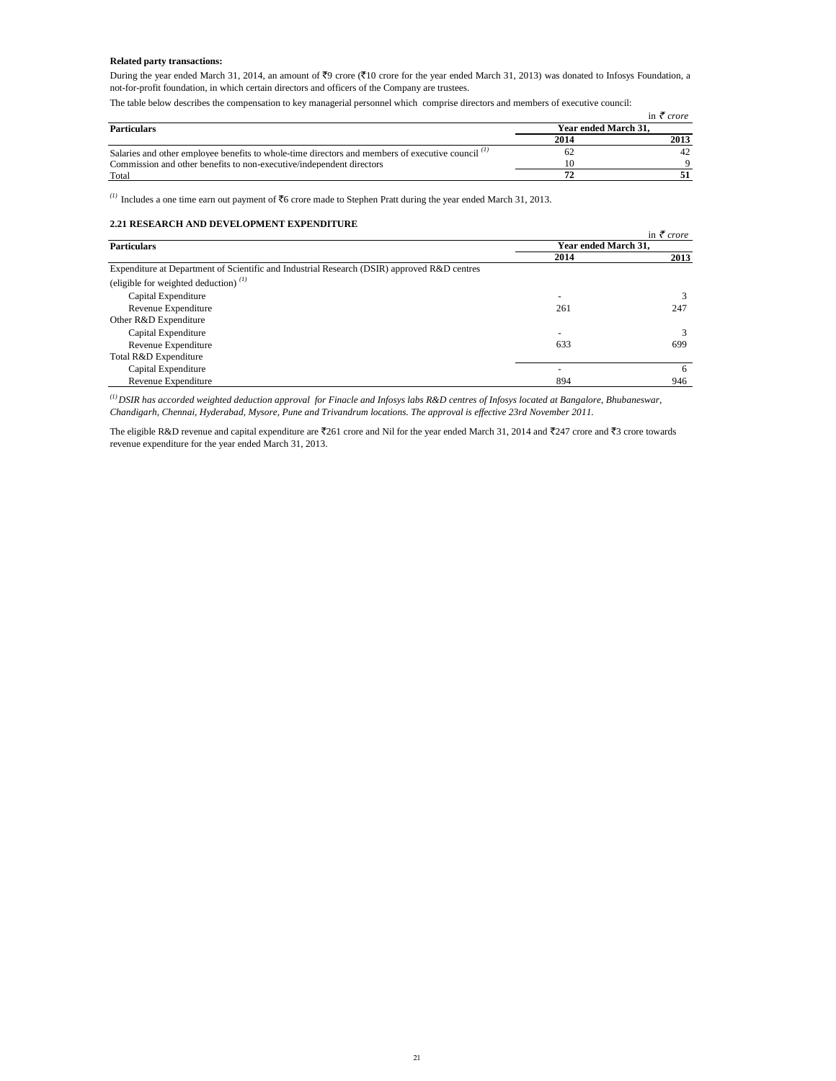# **Related party transactions:**

During the year ended March 31, 2014, an amount of  $\overline{z}9$  crore ( $\overline{z}10$  crore for the year ended March 31, 2013) was donated to Infosys Foundation, a not-for-profit foundation, in which certain directors and officers of the Company are trustees.

The table below describes the compensation to key managerial personnel which comprise directors and members of executive council:

|                                                                                                   |                      | in $\zeta$ crore |
|---------------------------------------------------------------------------------------------------|----------------------|------------------|
| <b>Particulars</b>                                                                                | Year ended March 31. |                  |
|                                                                                                   | 2014                 | 2013             |
| Salaries and other employee benefits to whole-time directors and members of executive council (1) |                      |                  |
| Commission and other benefits to non-executive/independent directors                              |                      |                  |
| Total                                                                                             |                      |                  |

*(1)* Includes a one time earn out payment of  $\overline{5}6$  crore made to Stephen Pratt during the year ended March 31, 2013.

# **2.21 RESEARCH AND DEVELOPMENT EXPENDITURE**

|                                                                                             |                      | in $\bar{\tau}$ crore |
|---------------------------------------------------------------------------------------------|----------------------|-----------------------|
| <b>Particulars</b>                                                                          | Year ended March 31, |                       |
|                                                                                             | 2014                 | 2013                  |
| Expenditure at Department of Scientific and Industrial Research (DSIR) approved R&D centres |                      |                       |
| (eligible for weighted deduction) $^{(1)}$                                                  |                      |                       |
| Capital Expenditure                                                                         | -                    | 3                     |
| Revenue Expenditure                                                                         | 261                  | 247                   |
| Other R&D Expenditure                                                                       |                      |                       |
| Capital Expenditure                                                                         | ۰                    | 3                     |
| Revenue Expenditure                                                                         | 633                  | 699                   |
| Total R&D Expenditure                                                                       |                      |                       |
| Capital Expenditure                                                                         |                      | 6                     |
| Revenue Expenditure                                                                         | 894                  | 946                   |

*(1)DSIR has accorded weighted deduction approval for Finacle and Infosys labs R&D centres of Infosys located at Bangalore, Bhubaneswar, Chandigarh, Chennai, Hyderabad, Mysore, Pune and Trivandrum locations. The approval is effective 23rd November 2011.* 

The eligible R&D revenue and capital expenditure are  $\overline{\epsilon}261$  crore and Nil for the year ended March 31, 2014 and  $\overline{\epsilon}247$  crore and  $\overline{\epsilon}3$  crore towards revenue expenditure for the year ended March 31, 2013.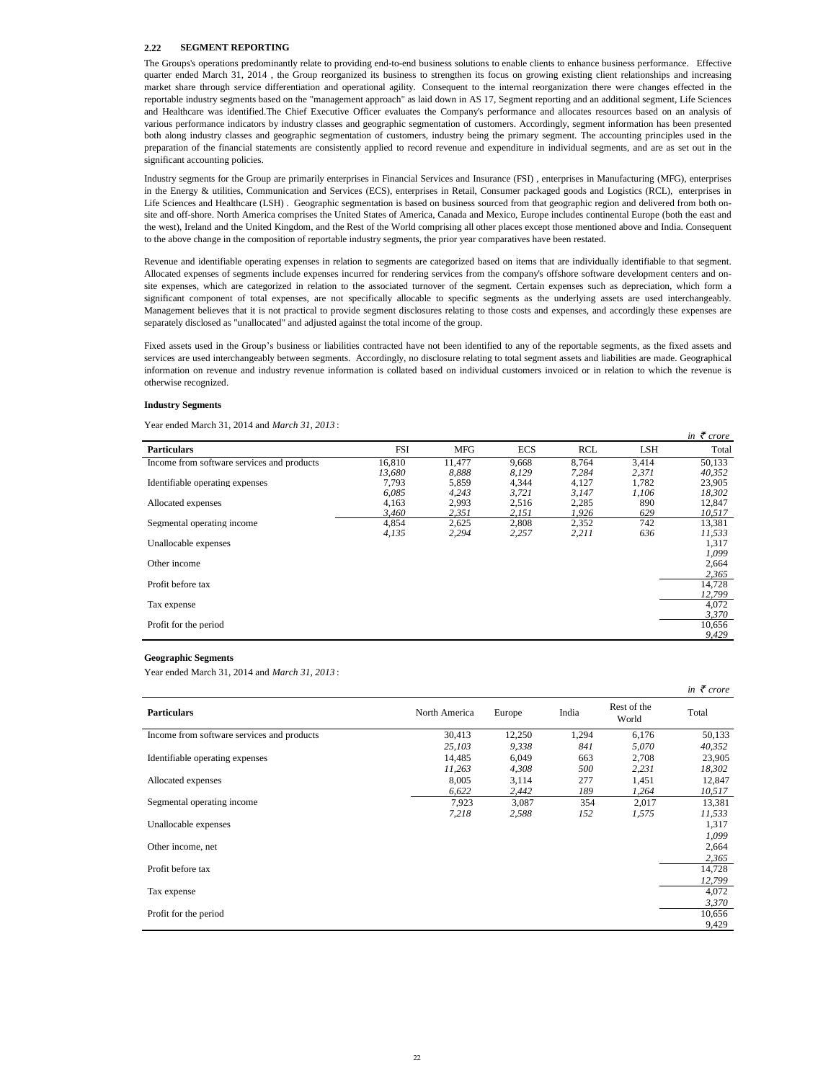### **2.22 SEGMENT REPORTING**

The Groups's operations predominantly relate to providing end-to-end business solutions to enable clients to enhance business performance. Effective quarter ended March 31, 2014 , the Group reorganized its business to strengthen its focus on growing existing client relationships and increasing market share through service differentiation and operational agility. Consequent to the internal reorganization there were changes effected in the reportable industry segments based on the "management approach" as laid down in AS 17, Segment reporting and an additional segment, Life Sciences and Healthcare was identified.The Chief Executive Officer evaluates the Company's performance and allocates resources based on an analysis of various performance indicators by industry classes and geographic segmentation of customers. Accordingly, segment information has been presented both along industry classes and geographic segmentation of customers, industry being the primary segment. The accounting principles used in the preparation of the financial statements are consistently applied to record revenue and expenditure in individual segments, and are as set out in the significant accounting policies.

Industry segments for the Group are primarily enterprises in Financial Services and Insurance (FSI) , enterprises in Manufacturing (MFG), enterprises in the Energy & utilities, Communication and Services (ECS), enterprises in Retail, Consumer packaged goods and Logistics (RCL), enterprises in Life Sciences and Healthcare (LSH) . Geographic segmentation is based on business sourced from that geographic region and delivered from both onsite and off-shore. North America comprises the United States of America, Canada and Mexico, Europe includes continental Europe (both the east and the west), Ireland and the United Kingdom, and the Rest of the World comprising all other places except those mentioned above and India. Consequent to the above change in the composition of reportable industry segments, the prior year comparatives have been restated.

Revenue and identifiable operating expenses in relation to segments are categorized based on items that are individually identifiable to that segment. Allocated expenses of segments include expenses incurred for rendering services from the company's offshore software development centers and onsite expenses, which are categorized in relation to the associated turnover of the segment. Certain expenses such as depreciation, which form a significant component of total expenses, are not specifically allocable to specific segments as the underlying assets are used interchangeably. Management believes that it is not practical to provide segment disclosures relating to those costs and expenses, and accordingly these expenses are separately disclosed as "unallocated" and adjusted against the total income of the group.

Fixed assets used in the Group's business or liabilities contracted have not been identified to any of the reportable segments, as the fixed assets and services are used interchangeably between segments. Accordingly, no disclosure relating to total segment assets and liabilities are made. Geographical information on revenue and industry revenue information is collated based on individual customers invoiced or in relation to which the revenue is otherwise recognized.

*in* ` *crore*

# **Industry Segments**

Year ended March 31, 2014 and *March 31, 2013* :

|                                            |            |            |            |            |       | <i>in crore</i> |
|--------------------------------------------|------------|------------|------------|------------|-------|-----------------|
| <b>Particulars</b>                         | <b>FSI</b> | <b>MFG</b> | <b>ECS</b> | <b>RCL</b> | LSH   | Total           |
| Income from software services and products | 16,810     | 11.477     | 9.668      | 8,764      | 3.414 | 50,133          |
|                                            | 13,680     | 8.888      | 8.129      | 7.284      | 2,371 | 40,352          |
| Identifiable operating expenses            | 7.793      | 5,859      | 4,344      | 4,127      | 1,782 | 23,905          |
|                                            | 6.085      | 4,243      | 3,721      | 3,147      | 1,106 | 18,302          |
| Allocated expenses                         | 4.163      | 2,993      | 2,516      | 2,285      | 890   | 12,847          |
|                                            | 3,460      | 2.351      | 2.151      | 1,926      | 629   | 10,517          |
| Segmental operating income                 | 4,854      | 2,625      | 2,808      | 2,352      | 742   | 13,381          |
|                                            | 4,135      | 2,294      | 2,257      | 2,211      | 636   | 11,533          |
| Unallocable expenses                       |            |            |            |            |       | 1,317           |
|                                            |            |            |            |            |       | 1,099           |
| Other income                               |            |            |            |            |       | 2,664           |
|                                            |            |            |            |            |       | 2,365           |
| Profit before tax                          |            |            |            |            |       | 14,728          |
|                                            |            |            |            |            |       | 12,799          |
| Tax expense                                |            |            |            |            |       | 4,072           |
|                                            |            |            |            |            |       | 3,370           |
| Profit for the period                      |            |            |            |            |       | 10,656          |
|                                            |            |            |            |            |       | 9,429           |
|                                            |            |            |            |            |       |                 |

### **Geographic Segments**

Year ended March 31, 2014 and *March 31, 2013* :

|                                            |               |        |       |                      | in $\bar{\tau}$ crore |
|--------------------------------------------|---------------|--------|-------|----------------------|-----------------------|
| <b>Particulars</b>                         | North America | Europe | India | Rest of the<br>World | Total                 |
| Income from software services and products | 30,413        | 12,250 | 1,294 | 6,176                | 50,133                |
|                                            | 25,103        | 9,338  | 841   | 5,070                | 40,352                |
| Identifiable operating expenses            | 14,485        | 6,049  | 663   | 2,708                | 23,905                |
|                                            | 11,263        | 4,308  | 500   | 2,231                | 18,302                |
| Allocated expenses                         | 8.005         | 3,114  | 277   | 1,451                | 12,847                |
|                                            | 6,622         | 2,442  | 189   | 1,264                | 10,517                |
| Segmental operating income                 | 7,923         | 3,087  | 354   | 2,017                | 13,381                |
|                                            | 7,218         | 2,588  | 152   | 1,575                | 11,533                |
| Unallocable expenses                       |               |        |       |                      | 1,317                 |
|                                            |               |        |       |                      | 1,099                 |
| Other income, net                          |               |        |       |                      | 2,664                 |
|                                            |               |        |       |                      | 2,365                 |
| Profit before tax                          |               |        |       |                      | 14,728                |
|                                            |               |        |       |                      | 12,799                |
| Tax expense                                |               |        |       |                      | 4,072                 |
|                                            |               |        |       |                      | 3,370                 |
| Profit for the period                      |               |        |       |                      | 10,656                |
|                                            |               |        |       |                      | 9,429                 |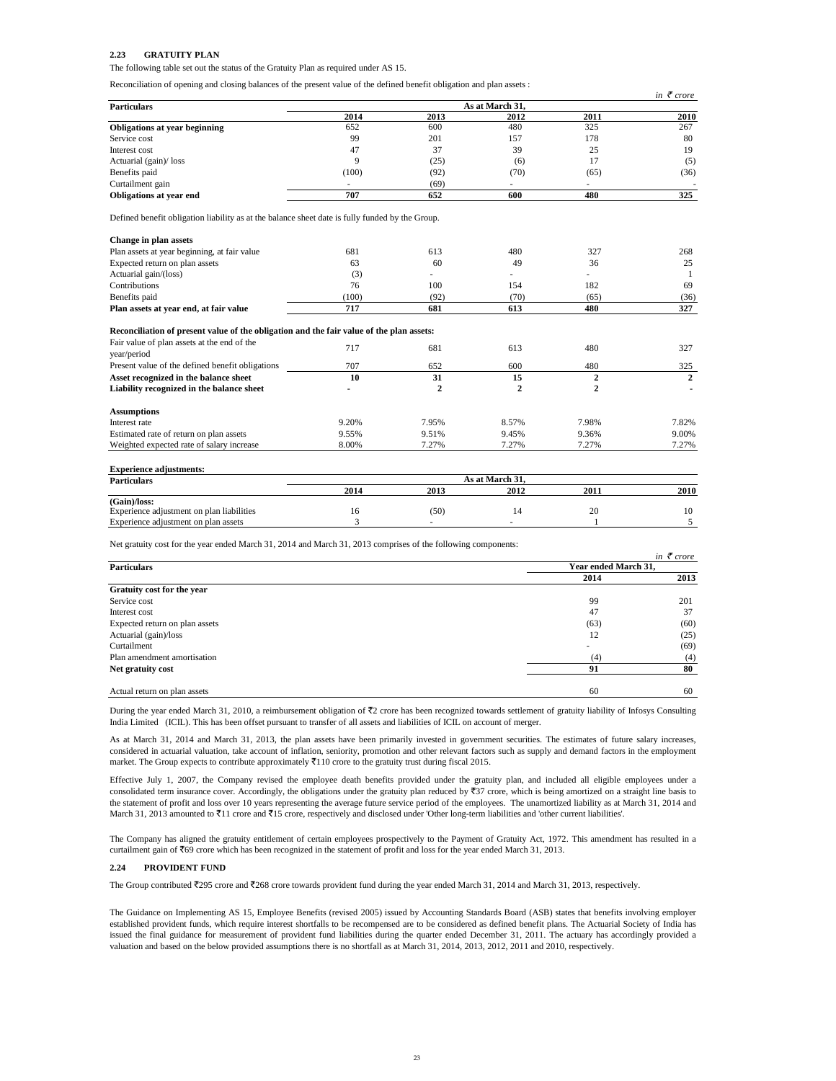## **2.23 GRATUITY PLAN**

The following table set out the status of the Gratuity Plan as required under AS 15.

Reconciliation of opening and closing balances of the present value of the defined benefit obligation and plan assets :

|                                                                                                 |                 |              |                |                | in $\bar{\tau}$ crore |  |
|-------------------------------------------------------------------------------------------------|-----------------|--------------|----------------|----------------|-----------------------|--|
| <b>Particulars</b>                                                                              | As at March 31, |              |                |                |                       |  |
|                                                                                                 | 2014            | 2013         | 2012           | 2011           | 2010                  |  |
| Obligations at year beginning                                                                   | 652             | 600          | 480            | 325            | 267                   |  |
| Service cost                                                                                    | 99              | 201          | 157            | 178            | 80                    |  |
| Interest cost                                                                                   | 47              | 37           | 39             | 25             | 19                    |  |
| Actuarial (gain)/ loss                                                                          | 9               | (25)         | (6)            | 17             | (5)                   |  |
| Benefits paid                                                                                   | (100)           | (92)         | (70)           | (65)           | (36)                  |  |
| Curtailment gain                                                                                |                 | (69)         |                |                |                       |  |
| Obligations at year end                                                                         | 707             | 652          | 600            | 480            | 325                   |  |
| Defined benefit obligation liability as at the balance sheet date is fully funded by the Group. |                 |              |                |                |                       |  |
| Change in plan assets                                                                           |                 |              |                |                |                       |  |
| Plan assets at year beginning, at fair value                                                    | 681             | 613          | 480            | 327            | 268                   |  |
| Expected return on plan assets                                                                  | 63              | 60           | 49             | 36             | 25                    |  |
| Actuarial gain/(loss)                                                                           | (3)             |              |                |                | -1                    |  |
| Contributions                                                                                   | 76              | 100          | 154            | 182            | 69                    |  |
| Benefits paid                                                                                   | (100)           | (92)         | (70)           | (65)           | (36)                  |  |
| Plan assets at year end, at fair value                                                          | 717             | 681          | 613            | 480            | 327                   |  |
| Reconciliation of present value of the obligation and the fair value of the plan assets:        |                 |              |                |                |                       |  |
| Fair value of plan assets at the end of the<br>year/period                                      | 717             | 681          | 613            | 480            | 327                   |  |
| Present value of the defined benefit obligations                                                | 707             | 652          | 600            | 480            | 325                   |  |
| Asset recognized in the balance sheet                                                           | 10              | 31           | 15             | $\overline{2}$ | $\mathbf{2}$          |  |
| Liability recognized in the balance sheet                                                       |                 | $\mathbf{2}$ | $\mathbf{2}$   | $\overline{2}$ |                       |  |
| <b>Assumptions</b>                                                                              |                 |              |                |                |                       |  |
| Interest rate                                                                                   | 9.20%           | 7.95%        | 8.57%          | 7.98%          | 7.82%                 |  |
| Estimated rate of return on plan assets                                                         | 9.55%           | 9.51%        | 9.45%          | 9.36%          | 9.00%                 |  |
| Weighted expected rate of salary increase                                                       | 8.00%           | 7.27%        | 7.27%          | 7.27%          | 7.27%                 |  |
|                                                                                                 |                 |              |                |                |                       |  |
| <b>Experience adjustments:</b>                                                                  |                 |              |                |                |                       |  |
| <b>Doutionlow</b>                                                                               |                 |              | As at March 31 |                |                       |  |

| <b>Particulars</b>                        | As at March 31. |      |      |      |      |
|-------------------------------------------|-----------------|------|------|------|------|
|                                           | 2014            | 2013 | 2012 | 2011 | 2010 |
| (Gain)/loss:                              |                 |      |      |      |      |
| Experience adjustment on plan liabilities |                 | (50) |      | 20   |      |
| Experience adjustment on plan assets      |                 |      |      |      |      |
|                                           |                 |      |      |      |      |

Net gratuity cost for the year ended March 31, 2014 and March 31, 2013 comprises of the following components:

|                                |                      | in $\bar{\tau}$ crore |
|--------------------------------|----------------------|-----------------------|
| <b>Particulars</b>             | Year ended March 31, |                       |
|                                | 2014                 | 2013                  |
| Gratuity cost for the year     |                      |                       |
| Service cost                   | 99                   | 201                   |
| Interest cost                  | 47                   | 37                    |
| Expected return on plan assets | (63)                 | (60)                  |
| Actuarial (gain)/loss          | 12                   | (25)                  |
| Curtailment                    | ۰                    | (69)                  |
| Plan amendment amortisation    | (4)                  | (4)                   |
| Net gratuity cost              | 91                   | 80                    |
| Actual return on plan assets   | 60                   | 60                    |

During the year ended March 31, 2010, a reimbursement obligation of ₹2 crore has been recognized towards settlement of gratuity liability of Infosys Consulting India Limited (ICIL). This has been offset pursuant to transfer of all assets and liabilities of ICIL on account of merger.

As at March 31, 2014 and March 31, 2013, the plan assets have been primarily invested in government securities. The estimates of future salary increases, considered in actuarial valuation, take account of inflation, seniority, promotion and other relevant factors such as supply and demand factors in the employment market. The Group expects to contribute approximately  $\bar{x}$ 110 crore to the gratuity trust during fiscal 2015.

Effective July 1, 2007, the Company revised the employee death benefits provided under the gratuity plan, and included all eligible employees under a consolidated term insurance cover. Accordingly, the obligations under the gratuity plan reduced by  $\overline{37}$  crore, which is being amortized on a straight line basis to the statement of profit and loss over 10 years representing the average future service period of the employees. The unamortized liability as at March 31, 2014 and March 31, 2013 amounted to  $\bar{\tau}$ 11 crore and  $\bar{\tau}$ 15 crore, respectively and disclosed under 'Other long-term liabilities and 'other current liabilities'.

The Company has aligned the gratuity entitlement of certain employees prospectively to the Payment of Gratuity Act, 1972. This amendment has resulted in a curtailment gain of  $\overline{\mathfrak{c}}$ 69 crore which has been recognized in the statement of profit and loss for the year ended March 31, 2013.

### **2.24 PROVIDENT FUND**

The Group contributed ₹295 crore and ₹268 crore towards provident fund during the year ended March 31, 2014 and March 31, 2013, respectively.

The Guidance on Implementing AS 15, Employee Benefits (revised 2005) issued by Accounting Standards Board (ASB) states that benefits involving employer established provident funds, which require interest shortfalls to be recompensed are to be considered as defined benefit plans. The Actuarial Society of India has issued the final guidance for measurement of provident fund liabilities during the quarter ended December 31, 2011. The actuary has accordingly provided a valuation and based on the below provided assumptions there is no shortfall as at March 31, 2014, 2013, 2012, 2011 and 2010, respectively.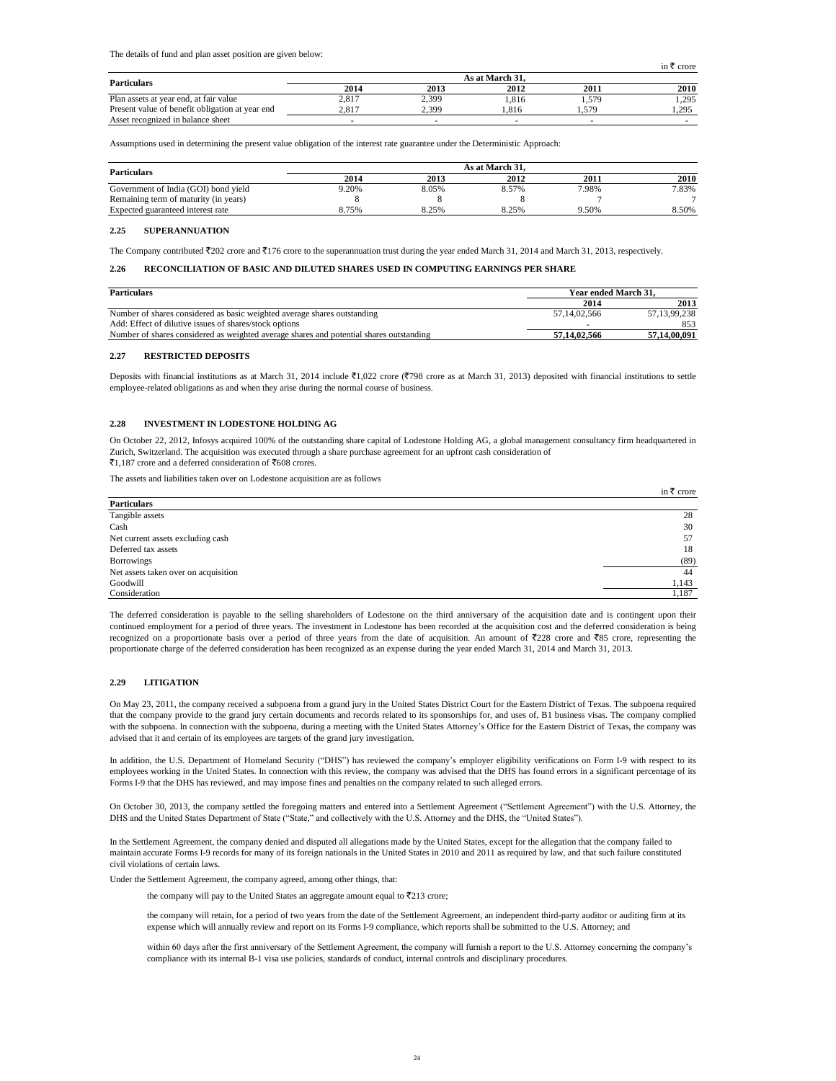The details of fund and plan asset position are given below:

| <b>Particulars</b>                              |       |                          | As at March 31. |       |       |
|-------------------------------------------------|-------|--------------------------|-----------------|-------|-------|
|                                                 | 2014  | 2013                     | 2012            | 2011  | 2010  |
| Plan assets at year end, at fair value          | 2.817 | 2,399                    | .816            | 1,579 | 1.295 |
| Present value of benefit obligation at year end | 2.817 | 2.399                    | .816            | .57°  | 1.295 |
| Asset recognized in balance sheet               |       | $\overline{\phantom{a}}$ |                 |       |       |

Assumptions used in determining the present value obligation of the interest rate guarantee under the Deterministic Approach:

| <b>Particulars</b>                    | As at March 31. |       |       |       |       |
|---------------------------------------|-----------------|-------|-------|-------|-------|
|                                       | 2014            | 2013  | 2012  | 2011  | 2010  |
| Government of India (GOI) bond yield  | 9.20%           | 8.05% | 8.57% | 7.98% | 7.83% |
| Remaining term of maturity (in years) |                 |       |       |       |       |
| Expected guaranteed interest rate     | 8.75%           | 8.25% | 8.25% | 9.50% | 8.50% |

### **2.25 SUPERANNUATION**

The Company contributed  $\overline{z}202$  crore and  $\overline{z}176$  crore to the superannuation trust during the year ended March 31, 2014 and March 31, 2013, respectively.

# **2.26 RECONCILIATION OF BASIC AND DILUTED SHARES USED IN COMPUTING EARNINGS PER SHARE**

| <b>Particulars</b>                                                                      | Year ended March 31. |              |
|-----------------------------------------------------------------------------------------|----------------------|--------------|
|                                                                                         | 2014                 | 2013         |
| Number of shares considered as basic weighted average shares outstanding                | 57.14.02.566         | 57.13.99.238 |
| Add: Effect of dilutive issues of shares/stock options                                  |                      | 853          |
| Number of shares considered as weighted average shares and potential shares outstanding | 57.14.02.566         | 57,14,00,091 |

### **2.27 RESTRICTED DEPOSITS**

Deposits with financial institutions as at March 31, 2014 include  $\bar{\epsilon}$ 1,022 crore ( $\bar{\epsilon}$ 798 crore as at March 31, 2013) deposited with financial institutions to settle employee-related obligations as and when they arise during the normal course of business.

# **2.28 INVESTMENT IN LODESTONE HOLDING AG**

On October 22, 2012, Infosys acquired 100% of the outstanding share capital of Lodestone Holding AG, a global management consultancy firm headquartered in Zurich, Switzerland. The acquisition was executed through a share purchase agreement for an upfront cash consideration of  $\overline{51}$ , 187 crore and a deferred consideration of  $\overline{5}608$  crores.

The assets and liabilities taken over on Lodestone acquisition are as follows

|                                      | in $\bar{\tau}$ crore |
|--------------------------------------|-----------------------|
| <b>Particulars</b>                   |                       |
| Tangible assets                      | 28                    |
| Cash                                 | 30                    |
| Net current assets excluding cash    | 57                    |
| Deferred tax assets                  | 18                    |
| <b>Borrowings</b>                    | (89)                  |
| Net assets taken over on acquisition | 44                    |
| Goodwill                             | 1,143                 |
| Consideration                        | 1,187                 |

The deferred consideration is payable to the selling shareholders of Lodestone on the third anniversary of the acquisition date and is contingent upon their continued employment for a period of three years. The investment in Lodestone has been recorded at the acquisition cost and the deferred consideration is being recognized on a proportionate basis over a period of three years from the date of acquisition. An amount of  $\overline{5228}$  crore and  $\overline{585}$  crore, representing the proportionate charge of the deferred consideration has been recognized as an expense during the year ended March 31, 2014 and March 31, 2013.

### **2.29 LITIGATION**

On May 23, 2011, the company received a subpoena from a grand jury in the United States District Court for the Eastern District of Texas. The subpoena required that the company provide to the grand jury certain documents and records related to its sponsorships for, and uses of, B1 business visas. The company complied with the subpoena. In connection with the subpoena, during a meeting with the United States Attorney's Office for the Eastern District of Texas, the company was advised that it and certain of its employees are targets of the grand jury investigation.

In addition, the U.S. Department of Homeland Security ("DHS") has reviewed the company's employer eligibility verifications on Form I-9 with respect to its employees working in the United States. In connection with this review, the company was advised that the DHS has found errors in a significant percentage of its Forms I-9 that the DHS has reviewed, and may impose fines and penalties on the company related to such alleged errors.

On October 30, 2013, the company settled the foregoing matters and entered into a Settlement Agreement ("Settlement Agreement") with the U.S. Attorney, the DHS and the United States Department of State ("State," and collectively with the U.S. Attorney and the DHS, the "United States").

In the Settlement Agreement, the company denied and disputed all allegations made by the United States, except for the allegation that the company failed to maintain accurate Forms I-9 records for many of its foreign nationals in the United States in 2010 and 2011 as required by law, and that such failure constituted civil violations of certain laws.

Under the Settlement Agreement, the company agreed, among other things, that:

the company will pay to the United States an aggregate amount equal to  $\overline{5}213$  crore;

the company will retain, for a period of two years from the date of the Settlement Agreement, an independent third-party auditor or auditing firm at its expense which will annually review and report on its Forms I-9 compliance, which reports shall be submitted to the U.S. Attorney; and

within 60 days after the first anniversary of the Settlement Agreement, the company will furnish a report to the U.S. Attorney concerning the company's compliance with its internal B-1 visa use policies, standards of conduct, internal controls and disciplinary procedures.